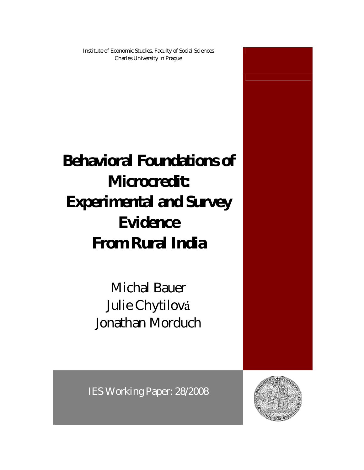Institute of Economic Studies, Faculty of Social Sciences Charles University in Prague

**Behavioral Foundations of Microcredit: Experimental and Survey Evidence From Rural India**

> Michal Bauer Julie Chytilová Jonathan Morduch



IES Working Paper: 28/2008

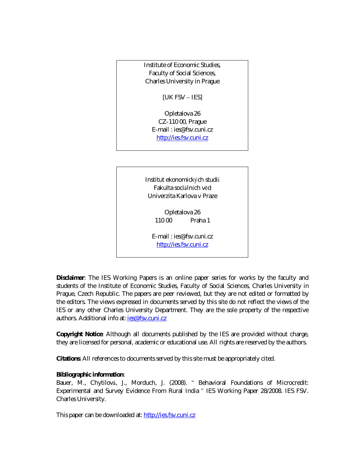Institute of Economic Studies, Faculty of Social Sciences, Charles University in Prague

[UK FSV – IES]

Opletalova 26 CZ-110 00, Prague E-mail : ies@fsv.cuni.cz http://ies.fsv.cuni.cz

Institut ekonomických studií Fakulta sociá lních věd Univerzita Karlova v Praze

> Opletalova 26 110 00 Praha 1

E-mail : ies@fsv.cuni.cz http://ies.fsv.cuni.cz

**Disclaimer**: The IES Working Papers is an online paper series for works by the faculty and students of the Institute of Economic Studies, Faculty of Social Sciences, Charles University in Prague, Czech Republic. The papers are peer reviewed, but they are *not* edited or formatted by the editors. The views expressed in documents served by this site do not reflect the views of the IES or any other Charles University Department. They are the sole property of the respective authors. Additional info at: *ies@fsv.cuni.cz* 

**Copyright Notice**: Although all documents published by the IES are provided without charge, they are licensed for personal, academic or educational use. All rights are reserved by the authors.

**Citations**: All references to documents served by this site must be appropriately cited.

**Bibliographic information**:

Bauer, M., Chytilová , J., Morduch, J. (2008). " Behavioral Foundations of Microcredit: Experimental and Survey Evidence From Rural India " IES Working Paper 28/2008. IES FSV. Charles University.

This paper can be downloaded at: http://ies.fsv.cuni.cz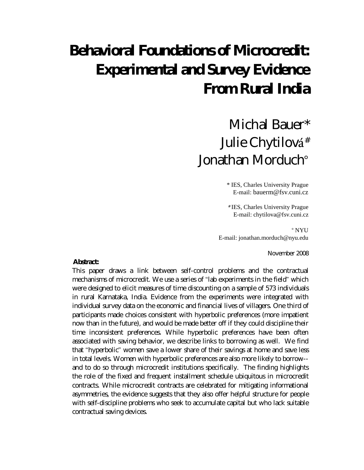# **Behavioral Foundations of Microcredit: Experimental and Survey Evidence From Rural India**

## Michal Bauer\* Julie Chytilová # Jonathan Morduch°

\* IES, Charles University Prague E-mail: bauerm@fsv.cuni.cz

# IES, Charles University Prague E-mail: chytilova@fsv.cuni.cz

° NYU E-mail: jonathan.morduch@nyu.edu

November 2008

#### **Abstract:**

This paper draws a link between self-control problems and the contractual mechanisms of microcredit. We use a series of "lab experiments in the field" which were designed to elicit measures of time discounting on a sample of 573 individuals in rural Karnataka, India. Evidence from the experiments were integrated with individual survey data on the economic and financial lives of villagers. One third of participants made choices consistent with hyperbolic preferences (more impatient now than in the future), and would be made better off if they could discipline their time inconsistent preferences. While hyperbolic preferences have been often associated with saving behavior, we describe links to borrowing as well. We find that "hyperbolic" women save a lower share of their savings at home and save less in total levels. Women with hyperbolic preferences are also more likely to borrow- and to do so through microcredit institutions specifically. The finding highlights the role of the fixed and frequent installment schedule ubiquitous in microcredit contracts. While microcredit contracts are celebrated for mitigating informational asymmetries, the evidence suggests that they also offer helpful structure for people with self-discipline problems who seek to accumulate capital but who lack suitable contractual saving devices.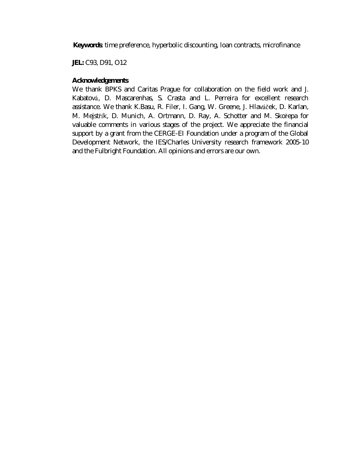**Keywords**: time preference, hyperbolic discounting, loan contracts, microfinance

**JEL:** C93, D91, O12

#### **Acknowledgements**

We thank BPKS and Caritas Prague for collaboration on the field work and J. Kabatová , D. Mascarenhas, S. Crasta and L. Perreira for excellent research assistance. We thank K.Basu, R. Filer, I. Gang, W. Greene, J. Hlaváček, D. Karlan, M. Mejstřík, D. Munich, A. Ortmann, D. Ray, A. Schotter and M. Skořepa for valuable comments in various stages of the project. We appreciate the financial support by a grant from the CERGE-EI Foundation under a program of the Global Development Network, the IES/Charles University research framework 2005-10 and the Fulbright Foundation. All opinions and errors are our own.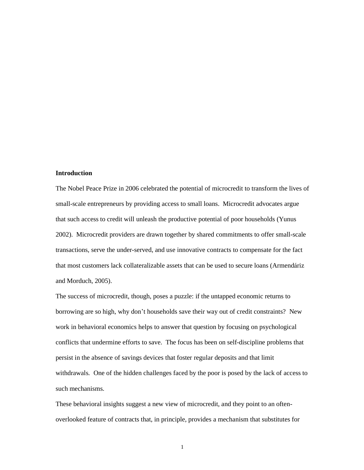#### **Introduction**

The Nobel Peace Prize in 2006 celebrated the potential of microcredit to transform the lives of small-scale entrepreneurs by providing access to small loans. Microcredit advocates argue that such access to credit will unleash the productive potential of poor households (Yunus 2002). Microcredit providers are drawn together by shared commitments to offer small-scale transactions, serve the under-served, and use innovative contracts to compensate for the fact that most customers lack collateralizable assets that can be used to secure loans (Armendáriz and Morduch, 2005).

The success of microcredit, though, poses a puzzle: if the untapped economic returns to borrowing are so high, why don't households save their way out of credit constraints? New work in behavioral economics helps to answer that question by focusing on psychological conflicts that undermine efforts to save. The focus has been on self-discipline problems that persist in the absence of savings devices that foster regular deposits and that limit withdrawals. One of the hidden challenges faced by the poor is posed by the lack of access to such mechanisms.

These behavioral insights suggest a new view of microcredit, and they point to an oftenoverlooked feature of contracts that, in principle, provides a mechanism that substitutes for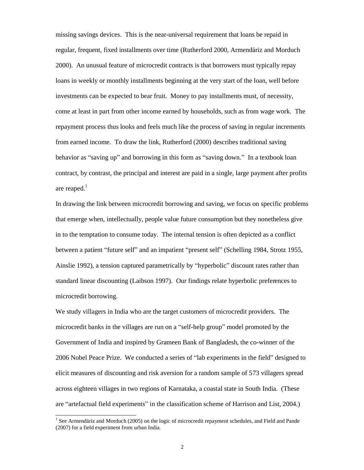missing savings devices. This is the near-universal requirement that loans be repaid in regular, frequent, fixed installments over time (Rutherford 2000, Armendáriz and Morduch 2000). An unusual feature of microcredit contracts is that borrowers must typically repay loans in weekly or monthly installments beginning at the very start of the loan, well before investments can be expected to bear fruit. Money to pay installments must, of necessity, come at least in part from other income earned by households, such as from wage work. The repayment process thus looks and feels much like the process of saving in regular increments from earned income. To draw the link, Rutherford (2000) describes traditional saving behavior as "saving up" and borrowing in this form as "saving down." In a textbook loan contract, by contrast, the principal and interest are paid in a single, large payment after profits are reaped. $<sup>1</sup>$ </sup>

In drawing the link between microcredit borrowing and saving, we focus on specific problems that emerge when, intellectually, people value future consumption but they nonetheless give in to the temptation to consume today. The internal tension is often depicted as a conflict between a patient "future self" and an impatient "present self" (Schelling 1984, Strotz 1955, Ainslie 1992), a tension captured parametrically by "hyperbolic" discount rates rather than standard linear discounting (Laibson 1997). Our findings relate hyperbolic preferences to microcredit borrowing.

We study villagers in India who are the target customers of microcredit providers. The microcredit banks in the villages are run on a "self-help group"model promoted by the Government of India and inspired by Grameen Bank of Bangladesh, the co-winner of the 2006 Nobel Peace Prize. We conducted a series of "lab experiments in the field" designed to elicit measures of discounting and risk aversion for a random sample of 573 villagers spread across eighteen villages in two regions of Karnataka, a coastal state in South India. (These are "artefactual field experiments" in the classification scheme of Harrison and List, 2004.)

<u>.</u>

<sup>&</sup>lt;sup>1</sup> See Armendáriz and Morduch (2005) on the logic of microcredit repayment schedules, and Field and Pande (2007) for a field experiment from urban India.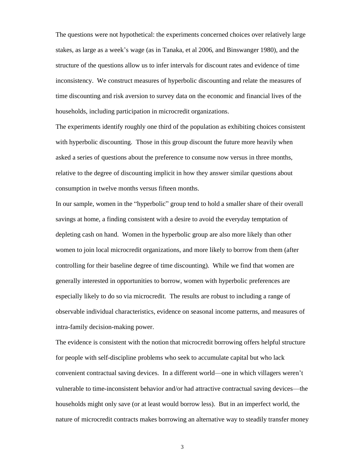The questions were not hypothetical: the experiments concerned choices over relatively large stakes, as large as a week's wage (as in Tanaka, et al 2006, and Binswanger 1980), and the structure of the questions allow us to infer intervals for discount rates and evidence of time inconsistency. We construct measures of hyperbolic discounting and relate the measures of time discounting and risk aversion to survey data on the economic and financial lives of the households, including participation in microcredit organizations.

The experiments identify roughly one third of the population as exhibiting choices consistent with hyperbolic discounting. Those in this group discount the future more heavily when asked a series of questions about the preference to consume now versus in three months, relative to the degree of discounting implicit in how they answer similar questions about consumption in twelve months versus fifteen months.

In our sample, women in the "hyperbolic" group tend to hold a smaller share of their overall savings at home, a finding consistent with a desire to avoid the everyday temptation of depleting cash on hand. Women in the hyperbolic group are also more likely than other women to join local microcredit organizations, and more likely to borrow from them (after controlling for their baseline degree of time discounting). While we find that women are generally interested in opportunities to borrow, women with hyperbolic preferences are especially likely to do so via microcredit. The results are robust to including a range of observable individual characteristics, evidence on seasonal income patterns, and measures of intra-family decision-making power.

The evidence is consistent with the notion that microcredit borrowing offers helpful structure for people with self-discipline problems who seek to accumulate capital but who lack convenient contractual saving devices. In a different world— one in which villagers weren't vulnerable to time-inconsistent behavior and/or had attractive contractual saving devices— the households might only save (or at least would borrow less). But in an imperfect world, the nature of microcredit contracts makes borrowing an alternative way to steadily transfer money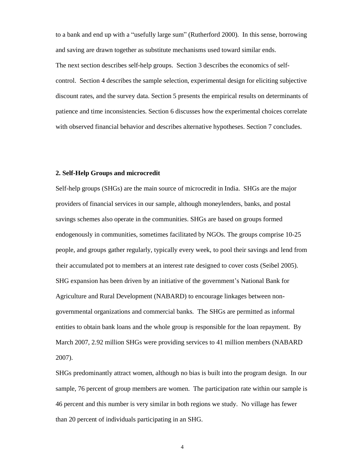to a bank and end up with a "usefully large sum" (Rutherford 2000). In this sense, borrowing and saving are drawn together as substitute mechanisms used toward similar ends.

The next section describes self-help groups. Section 3 describes the economics of selfcontrol. Section 4 describes the sample selection, experimental design for eliciting subjective discount rates, and the survey data. Section 5 presents the empirical results on determinants of patience and time inconsistencies. Section 6 discusses how the experimental choices correlate with observed financial behavior and describes alternative hypotheses. Section 7 concludes.

#### **2. Self-Help Groups and microcredit**

Self-help groups (SHGs) are the main source of microcredit in India. SHGs are the major providers of financial services in our sample, although moneylenders, banks, and postal savings schemes also operate in the communities. SHGs are based on groups formed endogenously in communities, sometimes facilitated by NGOs. The groups comprise 10-25 people, and groups gather regularly, typically every week, to pool their savings and lend from their accumulated pot to members at an interest rate designed to cover costs (Seibel 2005). SHG expansion has been driven by an initiative of the government's National Bank for Agriculture and Rural Development (NABARD) to encourage linkages between nongovernmental organizations and commercial banks. The SHGs are permitted as informal entities to obtain bank loans and the whole group is responsible for the loan repayment. By March 2007, 2.92 million SHGs were providing services to 41 million members (NABARD 2007).

SHGs predominantly attract women, although no bias is built into the program design. In our sample, 76 percent of group members are women. The participation rate within our sample is 46 percent and this number is very similar in both regions we study. No village has fewer than 20 percent of individuals participating in an SHG.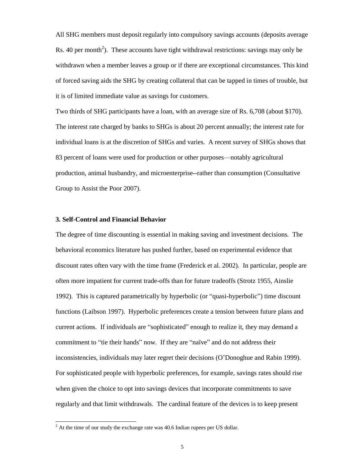All SHG members must deposit regularly into compulsory savings accounts (deposits average Rs. 40 per month<sup>2</sup>). These accounts have tight withdrawal restrictions: savings may only be withdrawn when a member leaves a group or if there are exceptional circumstances. This kind of forced saving aids the SHG by creating collateral that can be tapped in times of trouble, but it is of limited immediate value as savings for customers.

Two thirds of SHG participants have a loan, with an average size of Rs. 6,708 (about \$170). The interest rate charged by banks to SHGs is about 20 percent annually; the interest rate for individual loans is at the discretion of SHGs and varies. A recent survey of SHGs shows that 83 percent of loans were used for production or other purposes— notably agricultural production, animal husbandry, and microenterprise--rather than consumption (Consultative Group to Assist the Poor 2007).

#### **3. Self-Control and Financial Behavior**

The degree of time discounting is essential in making saving and investment decisions. The behavioral economics literature has pushed further, based on experimental evidence that discount rates often vary with the time frame (Frederick et al. 2002). In particular, people are often more impatient for current trade-offs than for future tradeoffs (Strotz 1955, Ainslie 1992). This is captured parametrically by hyperbolic (or "quasi-hyperbolic") time discount functions (Laibson 1997). Hyperbolic preferences create a tension between future plans and current actions. If individuals are "sophisticated" enough to realize it, they may demand a commitment to "tie their hands" now. If they are "naïve" and do not address their inconsistencies, individuals may later regret their decisions (O'Donoghue and Rabin 1999). For sophisticated people with hyperbolic preferences, for example, savings rates should rise when given the choice to opt into savings devices that incorporate commitments to save regularly and that limit withdrawals. The cardinal feature of the devices is to keep present

 $2^{2}$  At the time of our study the exchange rate was 40.6 Indian rupees per US dollar.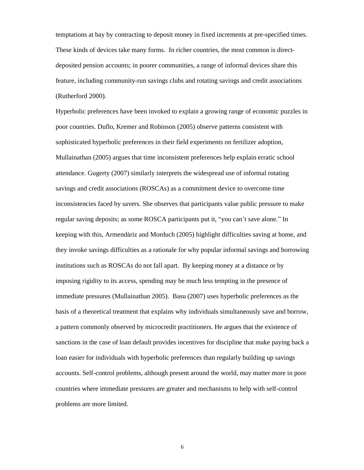temptations at bay by contracting to deposit money in fixed increments at pre-specified times. These kinds of devices take many forms. In richer countries, the most common is directdeposited pension accounts; in poorer communities, a range of informal devices share this feature, including community-run savings clubs and rotating savings and credit associations (Rutherford 2000).

Hyperbolic preferences have been invoked to explain a growing range of economic puzzles in poor countries. Duflo, Kremer and Robinson (2005) observe patterns consistent with sophisticated hyperbolic preferences in their field experiments on fertilizer adoption, Mullainathan (2005) argues that time inconsistent preferences help explain erratic school attendance. Gugerty (2007) similarly interprets the widespread use of informal rotating savings and credit associations (ROSCAs) as a commitment device to overcome time inconsistencies faced by savers. She observes that participants value public pressure to make regular saving deposits; as some ROSCA participants put it, "you can't save alone."In keeping with this, Armendáriz and Morduch (2005) highlight difficulties saving at home, and they invoke savings difficulties as a rationale for why popular informal savings and borrowing institutions such as ROSCAs do not fall apart. By keeping money at a distance or by imposing rigidity to its access, spending may be much less tempting in the presence of immediate pressures (Mullainathan 2005). Basu (2007) uses hyperbolic preferences as the basis of a theoretical treatment that explains why individuals simultaneously save and borrow, a pattern commonly observed by microcredit practitioners. He argues that the existence of sanctions in the case of loan default provides incentives for discipline that make paying back a loan easier for individuals with hyperbolic preferences than regularly building up savings accounts. Self-control problems, although present around the world, may matter more in poor countries where immediate pressures are greater and mechanisms to help with self-control problems are more limited.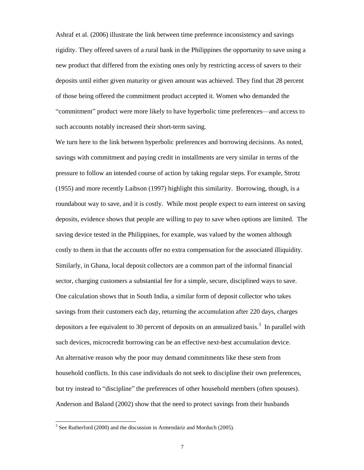Ashraf et al. (2006) illustrate the link between time preference inconsistency and savings rigidity. They offered savers of a rural bank in the Philippines the opportunity to save using a new product that differed from the existing ones only by restricting access of savers to their deposits until either given maturity or given amount was achieved. They find that 28 percent of those being offered the commitment product accepted it. Women who demanded the "commitment" product were more likely to have hyperbolic time preferences—and access to such accounts notably increased their short-term saving.

We turn here to the link between hyperbolic preferences and borrowing decisions. As noted, savings with commitment and paying credit in installments are very similar in terms of the pressure to follow an intended course of action by taking regular steps. For example, Strotz (1955) and more recently Laibson (1997) highlight this similarity. Borrowing, though, is a roundabout way to save, and it is costly. While most people expect to earn interest on saving deposits, evidence shows that people are willing to pay to save when options are limited. The saving device tested in the Philippines, for example, was valued by the women although costly to them in that the accounts offer no extra compensation for the associated illiquidity. Similarly, in Ghana, local deposit collectors are a common part of the informal financial sector, charging customers a substantial fee for a simple, secure, disciplined ways to save. One calculation shows that in South India, a similar form of deposit collector who takes savings from their customers each day, returning the accumulation after 220 days, charges depositors a fee equivalent to 30 percent of deposits on an annualized basis.<sup>3</sup> In parallel with such devices, microcredit borrowing can be an effective next-best accumulation device. An alternative reason why the poor may demand commitments like these stem from household conflicts. In this case individuals do not seek to discipline their own preferences, but try instead to "discipline" the preferences of other household members (often spouses). Anderson and Baland (2002) show that the need to protect savings from their husbands

 $3$  See Rutherford (2000) and the discussion in Armendáriz and Morduch (2005).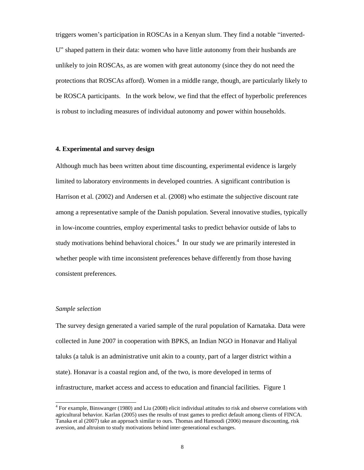triggers women's participation in ROSCAs in a Kenyan slum. They find a notable "inverted-U" shaped pattern in their data: women who have little autonomy from their husbands are unlikely to join ROSCAs, as are women with great autonomy (since they do not need the protections that ROSCAs afford). Women in a middle range, though, are particularly likely to be ROSCA participants. In the work below, we find that the effect of hyperbolic preferences is robust to including measures of individual autonomy and power within households.

#### **4. Experimental and survey design**

Although much has been written about time discounting, experimental evidence is largely limited to laboratory environments in developed countries. A significant contribution is Harrison et al. (2002) and Andersen et al. (2008) who estimate the subjective discount rate among a representative sample of the Danish population. Several innovative studies, typically in low-income countries, employ experimental tasks to predict behavior outside of labs to study motivations behind behavioral choices. 4 In our study we are primarily interested in whether people with time inconsistent preferences behave differently from those having consistent preferences.

#### *Sample selection*

1

The survey design generated a varied sample of the rural population of Karnataka. Data were collected in June 2007 in cooperation with BPKS, an Indian NGO in Honavar and Haliyal taluks (a taluk is an administrative unit akin to a county, part of a larger district within a state). Honavar is a coastal region and, of the two, is more developed in terms of infrastructure, market access and access to education and financial facilities. Figure 1

 $4$  For example, Binswanger (1980) and Liu (2008) elicit individual attitudes to risk and observe correlations with agricultural behavior. Karlan (2005) uses the results of trust games to predict default among clients of FINCA. Tanaka et al (2007) take an approach similar to ours. Thomas and Hamoudi (2006) measure discounting, risk aversion, and altruism to study motivations behind inter-generational exchanges.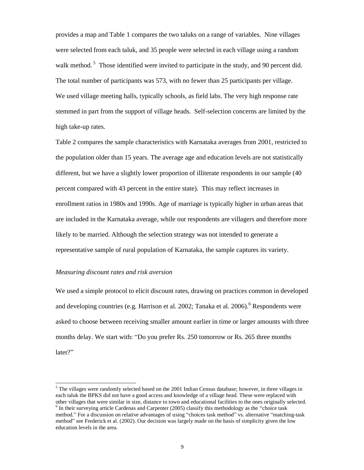provides a map and Table 1 compares the two taluks on a range of variables. Nine villages were selected from each taluk, and 35 people were selected in each village using a random walk method.<sup>5</sup> Those identified were invited to participate in the study, and 90 percent did. The total number of participants was 573, with no fewer than 25 participants per village. We used village meeting halls, typically schools, as field labs. The very high response rate stemmed in part from the support of village heads. Self-selection concerns are limited by the high take-up rates.

Table 2 compares the sample characteristics with Karnataka averages from 2001, restricted to the population older than 15 years. The average age and education levels are not statistically different, but we have a slightly lower proportion of illiterate respondents in our sample (40 percent compared with 43 percent in the entire state). This may reflect increases in enrollment ratios in 1980s and 1990s. Age of marriage is typically higher in urban areas that are included in the Karnataka average, while our respondents are villagers and therefore more likely to be married. Although the selection strategy was not intended to generate a representative sample of rural population of Karnataka, the sample captures its variety.

#### *Measuring discount rates and risk aversion*

1

We used a simple protocol to elicit discount rates, drawing on practices common in developed and developing countries (e.g. Harrison et al. 2002; Tanaka et al. 2006).<sup>6</sup> Respondents were asked to choose between receiving smaller amount earlier in time or larger amounts with three months delay. We start with: "Do you prefer Rs. 250 tomorrow or Rs. 265 three months later?"

<sup>&</sup>lt;sup>5</sup> The villages were randomly selected based on the 2001 Indian Census database; however, in three villages in each taluk the BPKS did not have a good access and knowledge of a village head. These were replaced with other villages that were similar in size, distance to town and educational facilities to the ones originally selected.  $<sup>6</sup>$  In their surveying article Cardenas and Carpenter (2005) classify this methodology as the "choice task</sup> method."For a discussion on relative advantages of using "choices task method" vs. alternative "matching-task method" see Frederick et al. (2002). Our decision was largely made on the basis of simplicity given the low education levels in the area.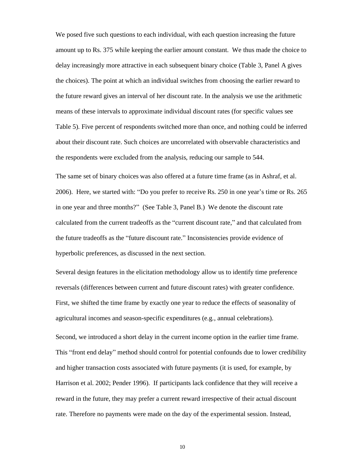We posed five such questions to each individual, with each question increasing the future amount up to Rs. 375 while keeping the earlier amount constant. We thus made the choice to delay increasingly more attractive in each subsequent binary choice (Table 3, Panel A gives the choices). The point at which an individual switches from choosing the earlier reward to the future reward gives an interval of her discount rate. In the analysis we use the arithmetic means of these intervals to approximate individual discount rates (for specific values see Table 5). Five percent of respondents switched more than once, and nothing could be inferred about their discount rate. Such choices are uncorrelated with observable characteristics and the respondents were excluded from the analysis, reducing our sample to 544.

The same set of binary choices was also offered at a future time frame (as in Ashraf, et al. 2006). Here, we started with: "Do you prefer to receive Rs. 250 in one year's time or Rs. 265 in one year and three months?"(See Table 3, Panel B.) We denote the discount rate calculated from the current tradeoffs as the "current discount rate," and that calculated from the future tradeoffs as the "future discount rate." Inconsistencies provide evidence of hyperbolic preferences, as discussed in the next section.

Several design features in the elicitation methodology allow us to identify time preference reversals (differences between current and future discount rates) with greater confidence. First, we shifted the time frame by exactly one year to reduce the effects of seasonality of agricultural incomes and season-specific expenditures (e.g., annual celebrations).

Second, we introduced a short delay in the current income option in the earlier time frame. This "front end delay" method should control for potential confounds due to lower credibility and higher transaction costs associated with future payments (it is used, for example, by Harrison et al. 2002; Pender 1996). If participants lack confidence that they will receive a reward in the future, they may prefer a current reward irrespective of their actual discount rate. Therefore no payments were made on the day of the experimental session. Instead,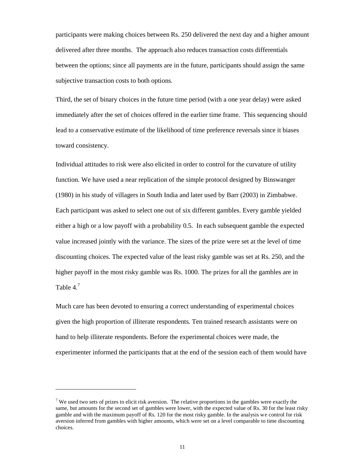participants were making choices between Rs. 250 delivered the next day and a higher amount delivered after three months. The approach also reduces transaction costs differentials between the options; since all payments are in the future, participants should assign the same subjective transaction costs to both options.

Third, the set of binary choices in the future time period (with a one year delay) were asked immediately after the set of choices offered in the earlier time frame. This sequencing should lead to a conservative estimate of the likelihood of time preference reversals since it biases toward consistency.

Individual attitudes to risk were also elicited in order to control for the curvature of utility function. We have used a near replication of the simple protocol designed by Binswanger (1980) in his study of villagers in South India and later used by Barr (2003) in Zimbabwe. Each participant was asked to select one out of six different gambles. Every gamble yielded either a high or a low payoff with a probability 0.5. In each subsequent gamble the expected value increased jointly with the variance. The sizes of the prize were set at the level of time discounting choices. The expected value of the least risky gamble was set at Rs. 250, and the higher payoff in the most risky gamble was Rs. 1000. The prizes for all the gambles are in Table  $4<sup>7</sup>$ 

Much care has been devoted to ensuring a correct understanding of experimental choices given the high proportion of illiterate respondents. Ten trained research assistants were on hand to help illiterate respondents. Before the experimental choices were made, the experimenter informed the participants that at the end of the session each of them would have

<sup>&</sup>lt;sup>7</sup> We used two sets of prizes to elicit risk aversion. The relative proportions in the gambles were exactly the same, but amounts for the second set of gambles were lower, with the expected value of Rs. 30 for the least risky gamble and with the maximum payoff of Rs. 120 for the most risky gamble. In the analysis we control for risk aversion inferred from gambles with higher amounts, which were set on a level comparable to time discounting choices.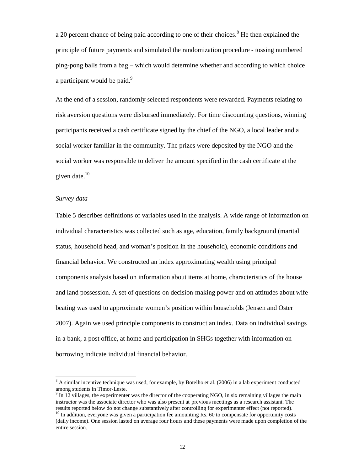a 20 percent chance of being paid according to one of their choices.<sup>8</sup> He then explained the principle of future payments and simulated the randomization procedure - tossing numbered ping-pong balls from a bag – which would determine whether and according to which choice a participant would be paid.<sup>9</sup>

At the end of a session, randomly selected respondents were rewarded. Payments relating to risk aversion questions were disbursed immediately. For time discounting questions, winning participants received a cash certificate signed by the chief of the NGO, a local leader and a social worker familiar in the community. The prizes were deposited by the NGO and the social worker was responsible to deliver the amount specified in the cash certificate at the given date. $10$ 

#### *Survey data*

1

Table 5 describes definitions of variables used in the analysis. A wide range of information on individual characteristics was collected such as age, education, family background (marital status, household head, and woman's position in the household), economic conditions and financial behavior. We constructed an index approximating wealth using principal components analysis based on information about items at home, characteristics of the house and land possession. A set of questions on decision-making power and on attitudes about wife beating was used to approximate women's position within households (Jensen and Oster 2007). Again we used principle components to construct an index. Data on individual savings in a bank, a post office, at home and participation in SHGs together with information on borrowing indicate individual financial behavior.

<sup>&</sup>lt;sup>8</sup> A similar incentive technique was used, for example, by Botelho et al. (2006) in a lab experiment conducted among students in Timor-Leste.

 $9 \text{ In } 12 \text{ villages, the experimenter was the director of the cooperating NGO, in six remaining villages the main.}$ instructor was the associate director who was also present at previous meetings as a research assistant. The results reported below do not change substantively after controlling for experimenter effect (not reported).

<sup>&</sup>lt;sup>10</sup> In addition, everyone was given a participation fee amounting Rs. 60 to compensate for opportunity costs (daily income). One session lasted on average four hours and these payments were made upon completion of the entire session.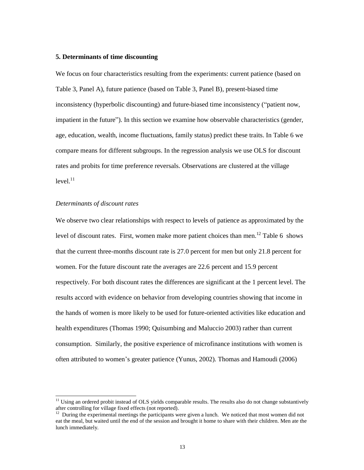#### **5. Determinants of time discounting**

We focus on four characteristics resulting from the experiments: current patience (based on Table 3, Panel A), future patience (based on Table 3, Panel B), present-biased time inconsistency (hyperbolic discounting) and future-biased time inconsistency ("patient now, impatient in the future"). In this section we examine how observable characteristics (gender, age, education, wealth, income fluctuations, family status) predict these traits. In Table 6 we compare means for different subgroups. In the regression analysis we use OLS for discount rates and probits for time preference reversals. Observations are clustered at the village  $level<sup>11</sup>$ 

#### *Determinants of discount rates*

1

We observe two clear relationships with respect to levels of patience as approximated by the level of discount rates. First, women make more patient choices than men.<sup>12</sup> Table 6 shows that the current three-months discount rate is 27.0 percent for men but only 21.8 percent for women. For the future discount rate the averages are 22.6 percent and 15.9 percent respectively. For both discount rates the differences are significant at the 1 percent level. The results accord with evidence on behavior from developing countries showing that income in the hands of women is more likely to be used for future-oriented activities like education and health expenditures (Thomas 1990; Quisumbing and Maluccio 2003) rather than current consumption. Similarly, the positive experience of microfinance institutions with women is often attributed to women's greater patience (Yunus, 2002). Thomas and Hamoudi (2006)

 $11$  Using an ordered probit instead of OLS yields comparable results. The results also do not change substantively after controlling for village fixed effects (not reported).

<sup>&</sup>lt;sup>12</sup> During the experimental meetings the participants were given a lunch. We noticed that most women did not eat the meal, but waited until the end of the session and brought it home to share with their children. Men ate the lunch immediately.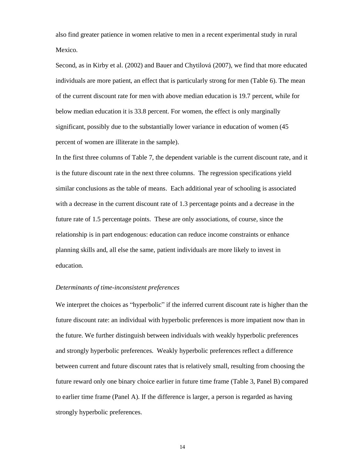also find greater patience in women relative to men in a recent experimental study in rural Mexico.

Second, as in Kirby et al. (2002) and Bauer and Chytilová (2007), we find that more educated individuals are more patient, an effect that is particularly strong for men (Table 6). The mean of the current discount rate for men with above median education is 19.7 percent, while for below median education it is 33.8 percent. For women, the effect is only marginally significant, possibly due to the substantially lower variance in education of women (45 percent of women are illiterate in the sample).

In the first three columns of Table 7, the dependent variable is the current discount rate, and it is the future discount rate in the next three columns. The regression specifications yield similar conclusions as the table of means. Each additional year of schooling is associated with a decrease in the current discount rate of 1.3 percentage points and a decrease in the future rate of 1.5 percentage points. These are only associations, of course, since the relationship is in part endogenous: education can reduce income constraints or enhance planning skills and, all else the same, patient individuals are more likely to invest in education.

#### *Determinants of time-inconsistent preferences*

We interpret the choices as "hyperbolic" if the inferred current discount rate is higher than the future discount rate: an individual with hyperbolic preferences is more impatient now than in the future. We further distinguish between individuals with weakly hyperbolic preferences and strongly hyperbolic preferences. Weakly hyperbolic preferences reflect a difference between current and future discount rates that is relatively small, resulting from choosing the future reward only one binary choice earlier in future time frame (Table 3, Panel B) compared to earlier time frame (Panel A). If the difference is larger, a person is regarded as having strongly hyperbolic preferences.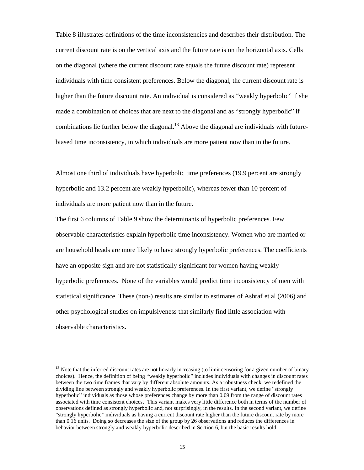Table 8 illustrates definitions of the time inconsistencies and describes their distribution. The current discount rate is on the vertical axis and the future rate is on the horizontal axis. Cells on the diagonal (where the current discount rate equals the future discount rate) represent individuals with time consistent preferences. Below the diagonal, the current discount rate is higher than the future discount rate. An individual is considered as "weakly hyperbolic" if she made a combination of choices that are next to the diagonal and as "strongly hyperbolic"if combinations lie further below the diagonal.<sup>13</sup> Above the diagonal are individuals with futurebiased time inconsistency, in which individuals are more patient now than in the future.

Almost one third of individuals have hyperbolic time preferences (19.9 percent are strongly hyperbolic and 13.2 percent are weakly hyperbolic), whereas fewer than 10 percent of individuals are more patient now than in the future.

The first 6 columns of Table 9 show the determinants of hyperbolic preferences. Few observable characteristics explain hyperbolic time inconsistency. Women who are married or are household heads are more likely to have strongly hyperbolic preferences. The coefficients have an opposite sign and are not statistically significant for women having weakly hyperbolic preferences. None of the variables would predict time inconsistency of men with statistical significance. These (non-) results are similar to estimates of Ashraf et al (2006) and other psychological studies on impulsiveness that similarly find little association with observable characteristics.

 $13$  Note that the inferred discount rates are not linearly increasing (to limit censoring for a given number of binary choices). Hence, the definition of being "weakly hyperbolic" includes individuals with changes in discount rates between the two time frames that vary by different absolute amounts. As a robustness check, we redefined the dividing line between strongly and weakly hyperbolic preferences. In the first variant, we define "strongly hyperbolic" individuals as those whose preferences change by more than 0.09 from the range of discount rates associated with time consistent choices. This variant makes very little difference both in terms of the number of observations defined as strongly hyperbolic and, not surprisingly, in the results. In the second variant, we define "strongly hyperbolic"individuals as having a current discount rate higher than the future discount rate by more than 0.16 units. Doing so decreases the size of the group by 26 observations and reduces the differences in behavior between strongly and weakly hyperbolic described in Section 6, but the basic results hold.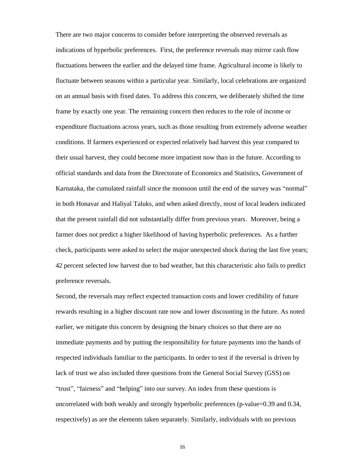There are two major concerns to consider before interpreting the observed reversals as indications of hyperbolic preferences. First, the preference reversals may mirror cash flow fluctuations between the earlier and the delayed time frame. Agricultural income is likely to fluctuate between seasons within a particular year. Similarly, local celebrations are organized on an annual basis with fixed dates. To address this concern, we deliberately shifted the time frame by exactly one year. The remaining concern then reduces to the role of income or expenditure fluctuations across years, such as those resulting from extremely adverse weather conditions. If farmers experienced or expected relatively bad harvest this year compared to their usual harvest, they could become more impatient now than in the future. According to official standards and data from the Directorate of Economics and Statistics, Government of Karnataka, the cumulated rainfall since the monsoon until the end of the survey was "normal" in both Honavar and Haliyal Taluks, and when asked directly, most of local leaders indicated that the present rainfall did not substantially differ from previous years. Moreover, being a farmer does not predict a higher likelihood of having hyperbolic preferences. As a further check, participants were asked to select the major unexpected shock during the last five years; 42 percent selected low harvest due to bad weather, but this characteristic also fails to predict preference reversals.

Second, the reversals may reflect expected transaction costs and lower credibility of future rewards resulting in a higher discount rate now and lower discounting in the future. As noted earlier, we mitigate this concern by designing the binary choices so that there are no immediate payments and by putting the responsibility for future payments into the hands of respected individuals familiar to the participants. In order to test if the reversal is driven by lack of trust we also included three questions from the General Social Survey (GSS) on "trust", "fairness" and "helping" into our survey. An index from these questions is uncorrelated with both weakly and strongly hyperbolic preferences (p-value=0.39 and 0.34, respectively) as are the elements taken separately. Similarly, individuals with no previous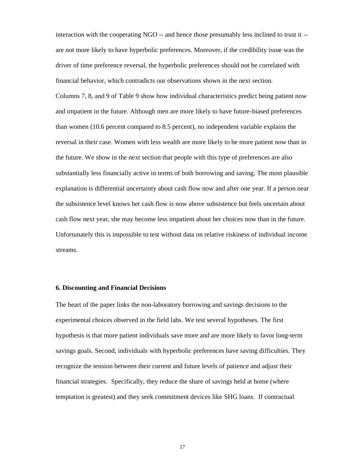interaction with the cooperating NGO -- and hence those presumably less inclined to trust it - are not more likely to have hyperbolic preferences. Moreover, if the credibility issue was the driver of time preference reversal, the hyperbolic preferences should not be correlated with financial behavior, which contradicts our observations shown in the next section.

Columns 7, 8, and 9 of Table 9 show how individual characteristics predict being patient now and impatient in the future. Although men are more likely to have future-biased preferences than women (10.6 percent compared to 8.5 percent), no independent variable explains the reversal in their case. Women with less wealth are more likely to be more patient now than in the future. We show in the next section that people with this type of preferences are also substantially less financially active in terms of both borrowing and saving. The most plausible explanation is differential uncertainty about cash flow now and after one year. If a person near the subsistence level knows her cash flow is now above subsistence but feels uncertain about cash flow next year, she may become less impatient about her choices now than in the future. Unfortunately this is impossible to test without data on relative riskiness of individual income streams.

#### **6. Discounting and Financial Decisions**

The heart of the paper links the non-laboratory borrowing and savings decisions to the experimental choices observed in the field labs. We test several hypotheses. The first hypothesis is that more patient individuals save more and are more likely to favor long-term savings goals. Second, individuals with hyperbolic preferences have saving difficulties. They recognize the tension between their current and future levels of patience and adjust their financial strategies. Specifically, they reduce the share of savings held at home (where temptation is greatest) and they seek commitment devices like SHG loans. If contractual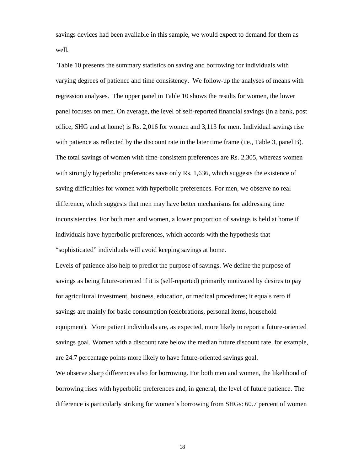savings devices had been available in this sample, we would expect to demand for them as well.

Table 10 presents the summary statistics on saving and borrowing for individuals with varying degrees of patience and time consistency. We follow-up the analyses of means with regression analyses. The upper panel in Table 10 shows the results for women, the lower panel focuses on men. On average, the level of self-reported financial savings (in a bank, post office, SHG and at home) is Rs. 2,016 for women and 3,113 for men. Individual savings rise with patience as reflected by the discount rate in the later time frame (i.e., Table 3, panel B). The total savings of women with time-consistent preferences are Rs. 2,305, whereas women with strongly hyperbolic preferences save only Rs. 1,636, which suggests the existence of saving difficulties for women with hyperbolic preferences. For men, we observe no real difference, which suggests that men may have better mechanisms for addressing time inconsistencies. For both men and women, a lower proportion of savings is held at home if individuals have hyperbolic preferences, which accords with the hypothesis that "sophisticated"individuals will avoid keeping savings at home.

Levels of patience also help to predict the purpose of savings. We define the purpose of savings as being future-oriented if it is (self-reported) primarily motivated by desires to pay for agricultural investment, business, education, or medical procedures; it equals zero if savings are mainly for basic consumption (celebrations, personal items, household equipment). More patient individuals are, as expected, more likely to report a future-oriented savings goal. Women with a discount rate below the median future discount rate, for example, are 24.7 percentage points more likely to have future-oriented savings goal.

We observe sharp differences also for borrowing. For both men and women, the likelihood of borrowing rises with hyperbolic preferences and, in general, the level of future patience. The difference is particularly striking for women's borrowing from SHGs: 60.7 percent of women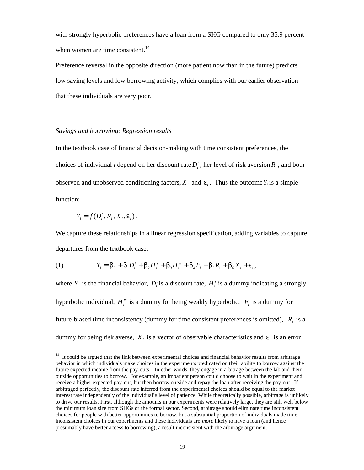with strongly hyperbolic preferences have a loan from a SHG compared to only 35.9 percent when women are time consistent.<sup>14</sup>

Preference reversal in the opposite direction (more patient now than in the future) predicts low saving levels and low borrowing activity, which complies with our earlier observation that these individuals are very poor.

#### *Savings and borrowing: Regression results*

In the textbook case of financial decision-making with time consistent preferences, the choices of individual *i* depend on her discount rate  $D_i^t$ , her level of risk aversion  $R_i$ , and both observed and unobserved conditioning factors,  $X_i$  and  $e_i$ . Thus the outcome  $Y_i$  is a simple function:

$$
Y_i = f(D_i^t, R_i, X_i, e_i).
$$

We capture these relationships in a linear regression specification, adding variables to capture departures from the textbook case:

(1) 
$$
Y_i = b_0 + b_1 D_i^t + b_2 H_i^s + b_3 H_i^w + b_4 F_i + b_5 R_i + b_6 X_i + e_i,
$$

where  $Y_i$  is the financial behavior,  $D_i$  is a discount rate,  $H_i^s$  is a dummy indicating a strongly hyperbolic individual,  $H_i^w$  is a dummy for being weakly hyperbolic,  $F_i$  is a dummy for future-biased time inconsistency (dummy for time consistent preferences is omitted),  $R_i$  is a dummy for being risk averse,  $X_i$  is a vector of observable characteristics and  $e_i$  is an error

 $14$ <sup>14</sup> It could be argued that the link between experimental choices and financial behavior results from arbitrage behavior in which individuals make choices in the experiments predicated on their ability to borrow against the future expected income from the pay-outs. In other words, they engage in arbitrage between the lab and their outside opportunities to borrow. For example, an impatient person could choose to wait in the experiment and receive a higher expected pay-out, but then borrow outside and repay the loan after receiving the pay-out. If arbitraged perfectly, the discount rate inferred from the experimental choices should be equal to the market interest rate independently of the individual's level of patience. While theoretically possible, arbitrage is unlikely to drive our results. First, although the amounts in our experiments were relatively large, they are still well below the minimum loan size from SHGs or the formal sector. Second, arbitrage should eliminate time inconsistent choices for people with better opportunities to borrow, but a substantial proportion of individuals made time inconsistent choices in our experiments and these individuals are *more* likely to have a loan (and hence presumably have better access to borrowing), a result inconsistent with the arbitrage argument.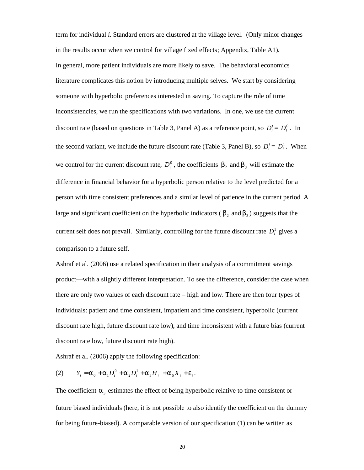term for individual *i*. Standard errors are clustered at the village level. (Only minor changes in the results occur when we control for village fixed effects; Appendix, Table A1). In general, more patient individuals are more likely to save. The behavioral economics literature complicates this notion by introducing multiple selves. We start by considering someone with hyperbolic preferences interested in saving. To capture the role of time inconsistencies, we run the specifications with two variations. In one, we use the current discount rate (based on questions in Table 3, Panel A) as a reference point, so  $D_i^t = D_i^0$ . In the second variant, we include the future discount rate (Table 3, Panel B), so  $D_i^t = D_i^1$ . When we control for the current discount rate,  $D_i^0$ , the coefficients  $b_2$  and  $b_3$  will estimate the difference in financial behavior for a hyperbolic person relative to the level predicted for a person with time consistent preferences and a similar level of patience in the current period. A large and significant coefficient on the hyperbolic indicators ( $b_2$  and  $b_3$ ) suggests that the current self does not prevail. Similarly, controlling for the future discount rate  $D_i^1$  gives a comparison to a future self.

Ashraf et al. (2006) use a related specification in their analysis of a commitment savings product— with a slightly different interpretation. To see the difference, consider the case when there are only two values of each discount rate – high and low. There are then four types of individuals: patient and time consistent, impatient and time consistent, hyperbolic (current discount rate high, future discount rate low), and time inconsistent with a future bias (current discount rate low, future discount rate high).

Ashraf et al. (2006) apply the following specification:

(2) 
$$
Y_i = a_0 + a_1 D_i^0 + a_2 D_i^1 + a_3 H_i + a_6 X_i + e_i.
$$

The coefficient  $a_3$  estimates the effect of being hyperbolic relative to time consistent or future biased individuals (here, it is not possible to also identify the coefficient on the dummy for being future-biased). A comparable version of our specification (1) can be written as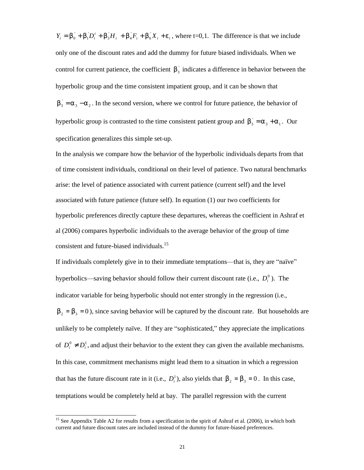$Y_i = b_0 + b_1 D_i' + b_3 H_i + b_4 F_i + b_6 X_i + e_i$ , where t=0,1. The difference is that we include only one of the discount rates and add the dummy for future biased individuals. When we control for current patience, the coefficient  $b_3$  indicates a difference in behavior between the hyperbolic group and the time consistent impatient group, and it can be shown that  $\mathbf{b}_3 = \mathbf{a}_3 - \mathbf{a}_2$ . In the second version, where we control for future patience, the behavior of hyperbolic group is contrasted to the time consistent patient group and  $b_3 = a_3 + a_1$ . Our specification generalizes this simple set-up.

In the analysis we compare how the behavior of the hyperbolic individuals departs from that of time consistent individuals, conditional on their level of patience. Two natural benchmarks arise: the level of patience associated with current patience (current self) and the level associated with future patience (future self). In equation (1) our two coefficients for hyperbolic preferences directly capture these departures, whereas the coefficient in Ashraf et al (2006) compares hyperbolic individuals to the average behavior of the group of time consistent and future-biased individuals.<sup>15</sup>

If individuals completely give in to their immediate temptations— that is, they are "naïve" hyperbolics—saving behavior should follow their current discount rate (i.e.,  $D_i^0$ ). The indicator variable for being hyperbolic should not enter strongly in the regression (i.e.,  $b_2 = b_3 = 0$ ), since saving behavior will be captured by the discount rate. But households are unlikely to be completely naïve. If they are "sophisticated,"they appreciate the implications of  $D_i^0 \neq D_i^1$ , and adjust their behavior to the extent they can given the available mechanisms. In this case, commitment mechanisms might lead them to a situation in which a regression that has the future discount rate in it (i.e.,  $D_i^1$ ), also yields that  $b_2 = b_3 = 0$ . In this case, temptations would be completely held at bay. The parallel regression with the current

<u>.</u>

<sup>&</sup>lt;sup>15</sup> See Appendix Table A2 for results from a specification in the spirit of Ashraf et al. (2006), in which both current and future discount rates are included instead of the dummy for future-biased preferences.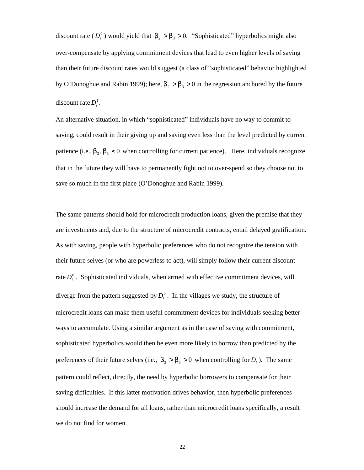discount rate  $(D_i^0)$  would yield that  $b_2 > b_3 > 0$ . "Sophisticated" hyperbolics might also over-compensate by applying commitment devices that lead to even higher levels of saving than their future discount rates would suggest (a class of "sophisticated" behavior highlighted by O'Donoghue and Rabin 1999); here,  $b_2 > b_3 > 0$  in the regression anchored by the future discount rate  $D_i^1$ .

An alternative situation, in which "sophisticated" individuals have no way to commit to saving, could result in their giving up and saving even less than the level predicted by current patience (i.e.,  $b_2$ ,  $b_3$  < 0 when controlling for current patience). Here, individuals recognize that in the future they will have to permanently fight not to over-spend so they choose not to save so much in the first place (O'Donoghue and Rabin 1999).

The same patterns should hold for microcredit production loans, given the premise that they are investments and, due to the structure of microcredit contracts, entail delayed gratification. As with saving, people with hyperbolic preferences who do not recognize the tension with their future selves (or who are powerless to act), will simply follow their current discount rate  $D_i^0$ . Sophisticated individuals, when armed with effective commitment devices, will diverge from the pattern suggested by  $D_i^0$ . In the villages we study, the structure of microcredit loans can make them useful commitment devices for individuals seeking better ways to accumulate. Using a similar argument as in the case of saving with commitment, sophisticated hyperbolics would then be even more likely to borrow than predicted by the preferences of their future selves (i.e.,  $b_2 > b_3 > 0$  when controlling for  $D_i^1$ ). The same pattern could reflect, directly, the need by hyperbolic borrowers to compensate for their saving difficulties. If this latter motivation drives behavior, then hyperbolic preferences should increase the demand for all loans, rather than microcredit loans specifically, a result we do not find for women.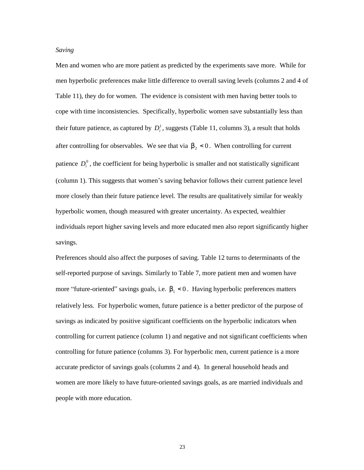#### *Saving*

Men and women who are more patient as predicted by the experiments save more. While for men hyperbolic preferences make little difference to overall saving levels (columns 2 and 4 of Table 11), they do for women. The evidence is consistent with men having better tools to cope with time inconsistencies. Specifically, hyperbolic women save substantially less than their future patience, as captured by  $D_i^1$ , suggests (Table 11, columns 3), a result that holds after controlling for observables. We see that via  $b<sub>2</sub> < 0$ . When controlling for current patience  $D_i^0$ , the coefficient for being hyperbolic is smaller and not statistically significant (column 1). This suggests that women's saving behavior follows their current patience level more closely than their future patience level. The results are qualitatively similar for weakly hyperbolic women, though measured with greater uncertainty. As expected, wealthier individuals report higher saving levels and more educated men also report significantly higher savings.

Preferences should also affect the purposes of saving. Table 12 turns to determinants of the self-reported purpose of savings. Similarly to Table 7, more patient men and women have more "future-oriented" savings goals, i.e.  $b<sub>1</sub> < 0$ . Having hyperbolic preferences matters relatively less. For hyperbolic women, future patience is a better predictor of the purpose of savings as indicated by positive significant coefficients on the hyperbolic indicators when controlling for current patience (column 1) and negative and not significant coefficients when controlling for future patience (columns 3). For hyperbolic men, current patience is a more accurate predictor of savings goals (columns 2 and 4). In general household heads and women are more likely to have future-oriented savings goals, as are married individuals and people with more education.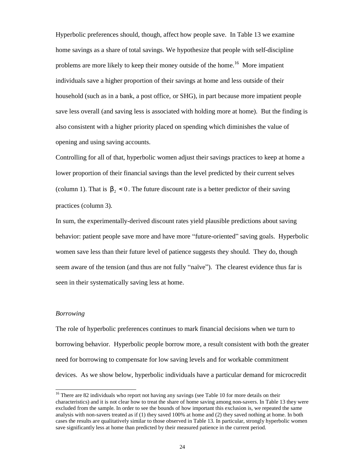Hyperbolic preferences should, though, affect how people save. In Table 13 we examine home savings as a share of total savings. We hypothesize that people with self-discipline problems are more likely to keep their money outside of the home.<sup>16</sup> More impatient individuals save a higher proportion of their savings at home and less outside of their household (such as in a bank, a post office, or SHG), in part because more impatient people save less overall (and saving less is associated with holding more at home). But the finding is also consistent with a higher priority placed on spending which diminishes the value of opening and using saving accounts.

Controlling for all of that, hyperbolic women adjust their savings practices to keep at home a lower proportion of their financial savings than the level predicted by their current selves (column 1). That is  $b<sub>2</sub> < 0$ . The future discount rate is a better predictor of their saving practices (column 3).

In sum, the experimentally-derived discount rates yield plausible predictions about saving behavior: patient people save more and have more "future-oriented" saving goals. Hyperbolic women save less than their future level of patience suggests they should. They do, though seem aware of the tension (and thus are not fully "naïve"). The clearest evidence thus far is seen in their systematically saving less at home.

#### *Borrowing*

<u>.</u>

The role of hyperbolic preferences continues to mark financial decisions when we turn to borrowing behavior. Hyperbolic people borrow more, a result consistent with both the greater need for borrowing to compensate for low saving levels and for workable commitment devices. As we show below, hyperbolic individuals have a particular demand for microcredit

 $16$  There are 82 individuals who report not having any savings (see Table 10 for more details on their characteristics) and it is not clear how to treat the share of home saving among non-savers. In Table 13 they were excluded from the sample. In order to see the bounds of how important this exclusion is, we repeated the same analysis with non-savers treated as if (1) they saved 100% at home and (2) they saved nothing at home. In both cases the results are qualitatively similar to those observed in Table 13. In particular, strongly hyperbolic women save significantly less at home than predicted by their measured patience in the current period.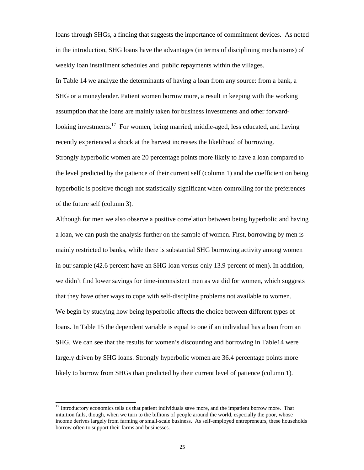loans through SHGs, a finding that suggests the importance of commitment devices. As noted in the introduction, SHG loans have the advantages (in terms of disciplining mechanisms) of weekly loan installment schedules and public repayments within the villages.

In Table 14 we analyze the determinants of having a loan from any source: from a bank, a SHG or a moneylender. Patient women borrow more, a result in keeping with the working assumption that the loans are mainly taken for business investments and other forwardlooking investments.<sup>17</sup> For women, being married, middle-aged, less educated, and having recently experienced a shock at the harvest increases the likelihood of borrowing. Strongly hyperbolic women are 20 percentage points more likely to have a loan compared to the level predicted by the patience of their current self (column 1) and the coefficient on being hyperbolic is positive though not statistically significant when controlling for the preferences of the future self (column 3).

Although for men we also observe a positive correlation between being hyperbolic and having a loan, we can push the analysis further on the sample of women. First, borrowing by men is mainly restricted to banks, while there is substantial SHG borrowing activity among women in our sample (42.6 percent have an SHG loan versus only 13.9 percent of men). In addition, we didn't find lower savings for time-inconsistent men as we did for women, which suggests that they have other ways to cope with self-discipline problems not available to women. We begin by studying how being hyperbolic affects the choice between different types of loans. In Table 15 the dependent variable is equal to one if an individual has a loan from an SHG. We can see that the results for women's discounting and borrowing in Table14 were largely driven by SHG loans. Strongly hyperbolic women are 36.4 percentage points more likely to borrow from SHGs than predicted by their current level of patience (column 1).

<sup>&</sup>lt;sup>17</sup> Introductory economics tells us that patient individuals save more, and the impatient borrow more. That intuition fails, though, when we turn to the billions of people around the world, especially the poor, whose income derives largely from farming or small-scale business. As self-employed entrepreneurs, these households borrow often to support their farms and businesses.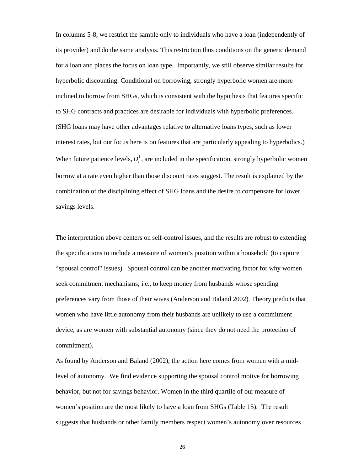In columns 5-8, we restrict the sample only to individuals who have a loan (independently of its provider) and do the same analysis. This restriction thus conditions on the generic demand for a loan and places the focus on loan type. Importantly, we still observe similar results for hyperbolic discounting. Conditional on borrowing, strongly hyperbolic women are more inclined to borrow from SHGs, which is consistent with the hypothesis that features specific to SHG contracts and practices are desirable for individuals with hyperbolic preferences. (SHG loans may have other advantages relative to alternative loans types, such as lower interest rates, but our focus here is on features that are particularly appealing to hyperbolics.) When future patience levels,  $D_i^1$ , are included in the specification, strongly hyperbolic women borrow at a rate even higher than those discount rates suggest. The result is explained by the combination of the disciplining effect of SHG loans and the desire to compensate for lower savings levels.

The interpretation above centers on self-control issues, and the results are robust to extending the specifications to include a measure of women's position within a household (to capture "spousal control"issues). Spousal control can be another motivating factor for why women seek commitment mechanisms; i.e., to keep money from husbands whose spending preferences vary from those of their wives (Anderson and Baland 2002). Theory predicts that women who have little autonomy from their husbands are unlikely to use a commitment device, as are women with substantial autonomy (since they do not need the protection of commitment).

As found by Anderson and Baland (2002), the action here comes from women with a midlevel of autonomy. We find evidence supporting the spousal control motive for borrowing behavior, but not for savings behavior. Women in the third quartile of our measure of women's position are the most likely to have a loan from SHGs (Table 15). The result suggests that husbands or other family members respect women's autonomy over resources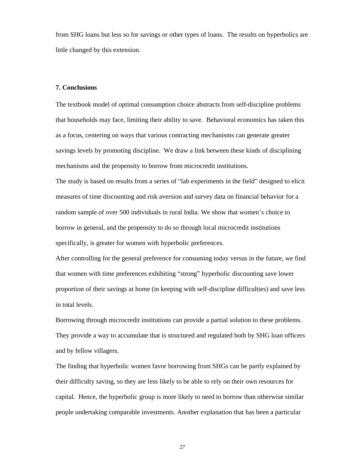from SHG loans but less so for savings or other types of loans. The results on hyperbolics are little changed by this extension.

#### **7. Conclusions**

The textbook model of optimal consumption choice abstracts from self-discipline problems that households may face, limiting their ability to save. Behavioral economics has taken this as a focus, centering on ways that various contracting mechanisms can generate greater savings levels by promoting discipline. We draw a link between these kinds of disciplining mechanisms and the propensity to borrow from microcredit institutions.

The study is based on results from a series of "lab experiments in the field" designed to elicit measures of time discounting and risk aversion and survey data on financial behavior for a random sample of over 500 individuals in rural India. We show that women's choice to borrow in general, and the propensity to do so through local microcredit institutions specifically, is greater for women with hyperbolic preferences.

After controlling for the general preference for consuming today versus in the future, we find that women with time preferences exhibiting "strong"hyperbolic discounting save lower proportion of their savings at home (in keeping with self-discipline difficulties) and save less in total levels.

Borrowing through microcredit institutions can provide a partial solution to these problems. They provide a way to accumulate that is structured and regulated both by SHG loan officers and by fellow villagers.

The finding that hyperbolic women favor borrowing from SHGs can be partly explained by their difficulty saving, so they are less likely to be able to rely on their own resources for capital. Hence, the hyperbolic group is more likely to need to borrow than otherwise similar people undertaking comparable investments. Another explanation that has been a particular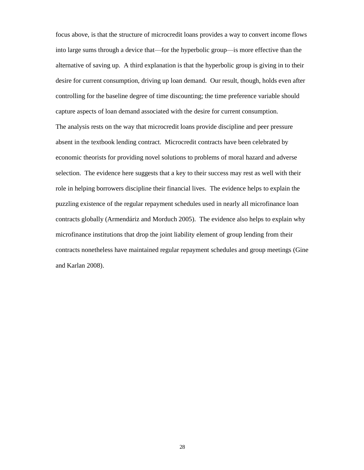focus above, is that the structure of microcredit loans provides a way to convert income flows into large sums through a device that— for the hyperbolic group— is more effective than the alternative of saving up. A third explanation is that the hyperbolic group is giving in to their desire for current consumption, driving up loan demand. Our result, though, holds even after controlling for the baseline degree of time discounting; the time preference variable should capture aspects of loan demand associated with the desire for current consumption. The analysis rests on the way that microcredit loans provide discipline and peer pressure absent in the textbook lending contract. Microcredit contracts have been celebrated by economic theorists for providing novel solutions to problems of moral hazard and adverse selection. The evidence here suggests that a key to their success may rest as well with their role in helping borrowers discipline their financial lives. The evidence helps to explain the puzzling existence of the regular repayment schedules used in nearly all microfinance loan contracts globally (Armendáriz and Morduch 2005). The evidence also helps to explain why microfinance institutions that drop the joint liability element of group lending from their contracts nonetheless have maintained regular repayment schedules and group meetings (Gine and Karlan 2008).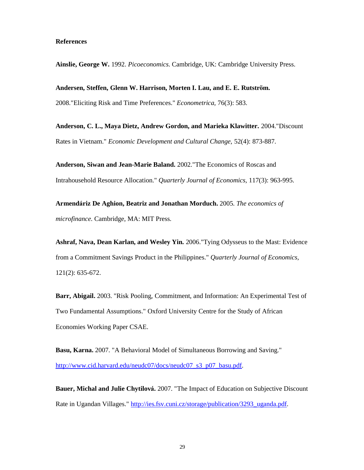#### **References**

**Ainslie, George W.** 1992. *Picoeconomics.* Cambridge, UK: Cambridge University Press.

**Andersen, Steffen, Glenn W. Harrison, Morten I. Lau, and E. E. Rutströ m.**  2008."Eliciting Risk and Time Preferences." *Econometrica,* 76(3): 583.

**Anderson, C. L., Maya Dietz, Andrew Gordon, and Marieka Klawitter.** 2004."Discount Rates in Vietnam." *Economic Development and Cultural Change,* 52(4): 873-887.

**Anderson, Siwan and Jean-Marie Baland.** 2002."The Economics of Roscas and Intrahousehold Resource Allocation." *Quarterly Journal of Economics,* 117(3): 963-995.

**Armendáriz De Aghion, Beatriz and Jonathan Morduch.** 2005. *The economics of microfinance.* Cambridge, MA: MIT Press.

**Ashraf, Nava, Dean Karlan, and Wesley Yin.** 2006."Tying Odysseus to the Mast: Evidence from a Commitment Savings Product in the Philippines." *Quarterly Journal of Economics,* 121(2): 635-672.

**Barr, Abigail.** 2003. "Risk Pooling, Commitment, and Information: An Experimental Test of Two Fundamental Assumptions." Oxford University Centre for the Study of African Economies Working Paper CSAE.

**Basu, Karna.** 2007. "A Behavioral Model of Simultaneous Borrowing and Saving." http://www.cid.harvard.edu/neudc07/docs/neudc07\_s3\_p07\_basu.pdf.

**Bauer, Michal and Julie Chytilová.** 2007. "The Impact of Education on Subjective Discount Rate in Ugandan Villages." http://ies.fsv.cuni.cz/storage/publication/3293\_uganda.pdf.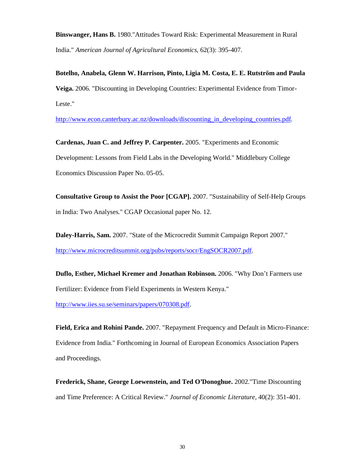**Binswanger, Hans B.** 1980."Attitudes Toward Risk: Experimental Measurement in Rural India." *American Journal of Agricultural Economics,* 62(3): 395-407.

**Botelho, Anabela, Glenn W. Harrison, Pinto, Ligia M. Costa, E. E. Rutströ m and Paula Veiga.** 2006. "Discounting in Developing Countries: Experimental Evidence from Timor-Leste."

http://www.econ.canterbury.ac.nz/downloads/discounting\_in\_developing\_countries.pdf.

**Cardenas, Juan C. and Jeffrey P. Carpenter.** 2005. "Experiments and Economic Development: Lessons from Field Labs in the Developing World." Middlebury College Economics Discussion Paper No. 05-05.

**Consultative Group to Assist the Poor [CGAP].** 2007. "Sustainability of Self-Help Groups in India: Two Analyses." CGAP Occasional paper No. 12.

**Daley-Harris, Sam.** 2007. "State of the Microcredit Summit Campaign Report 2007." http://www.microcreditsummit.org/pubs/reports/socr/EngSOCR2007.pdf.

**Duflo, Esther, Michael Kremer and Jonathan Robinson.** 2006. "Why Don't Farmers use Fertilizer: Evidence from Field Experiments in Western Kenya."

http://www.iies.su.se/seminars/papers/070308.pdf.

**Field, Erica and Rohini Pande.** 2007. "Repayment Frequency and Default in Micro-Finance: Evidence from India." Forthcoming in Journal of European Economics Association Papers and Proceedings.

**Frederick, Shane, George Loewenstein, and Ted O'Donoghue.** 2002."Time Discounting and Time Preference: A Critical Review." *Journal of Economic Literature,* 40(2): 351-401.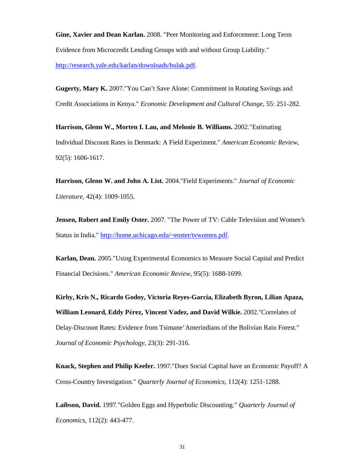**Gine, Xavier and Dean Karlan.** 2008. "Peer Monitoring and Enforcement: Long Term Evidence from Microcredit Lending Groups with and without Group Liability." http://research.yale.edu/karlan/downloads/bulak.pdf.

**Gugerty, Mary K.** 2007."You Can't Save Alone: Commitment in Rotating Savings and Credit Associations in Kenya." *Economic Development and Cultural Change,* 55: 251-282.

**Harrison, Glenn W., Morten I. Lau, and Melonie B. Williams.** 2002."Estimating Individual Discount Rates in Denmark: A Field Experiment." *American Economic Review,* 92(5): 1606-1617.

**Harrison, Glenn W. and John A. List.** 2004."Field Experiments." *Journal of Economic Literature,* 42(4): 1009-1055.

**Jensen, Robert and Emily Oster.** 2007. "The Power of TV: Cable Television and Women's Status in India." http://home.uchicago.edu/~eoster/tywomen.pdf.

**Karlan, Dean.** 2005."Using Experimental Economics to Measure Social Capital and Predict Financial Decisions." *American Economic Review,* 95(5): 1688-1699.

**Kirby, Kris N., Ricardo Godoy, Victoria Reyes-García, Elizabeth Byron, Lilian Apaza, William Leonard, Eddy Pé rez, Vincent Vadez, and David Wilkie.** 2002."Correlates of Delay-Discount Rates: Evidence from Tsimane' Amerindians of the Bolivian Rain Forest." *Journal of Economic Psychology,* 23(3): 291-316.

**Knack, Stephen and Philip Keefer.** 1997."Does Social Capital have an Economic Payoff? A Cross-Country Investigation." *Quarterly Journal of Economics,* 112(4): 1251-1288.

**Laibson, David.** 1997."Golden Eggs and Hyperbolic Discounting." *Quarterly Journal of Economics,* 112(2): 443-477.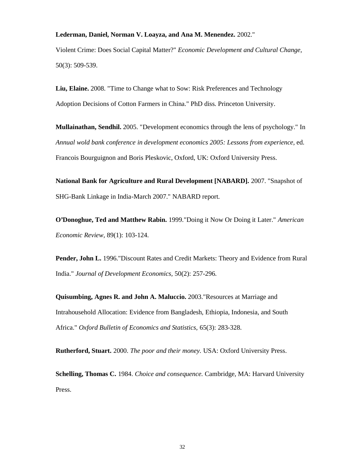#### **Lederman, Daniel, Norman V. Loayza, and Ana M. Menendez.** 2002."

Violent Crime: Does Social Capital Matter?" *Economic Development and Cultural Change,* 50(3): 509-539.

**Liu, Elaine.** 2008. "Time to Change what to Sow: Risk Preferences and Technology Adoption Decisions of Cotton Farmers in China." PhD diss. Princeton University.

**Mullainathan, Sendhil.** 2005. "Development economics through the lens of psychology." In *Annual wold bank conference in development economics 2005: Lessons from experience,* ed. Francois Bourguignon and Boris Pleskovic, Oxford, UK: Oxford University Press.

**National Bank for Agriculture and Rural Development [NABARD].** 2007. "Snapshot of SHG-Bank Linkage in India-March 2007." NABARD report.

**O'Donoghue, Ted and Matthew Rabin.** 1999."Doing it Now Or Doing it Later." *American Economic Review,* 89(1): 103-124.

**Pender, John L.** 1996."Discount Rates and Credit Markets: Theory and Evidence from Rural India." *Journal of Development Economics,* 50(2): 257-296.

**Quisumbing, Agnes R. and John A. Maluccio.** 2003."Resources at Marriage and Intrahousehold Allocation: Evidence from Bangladesh, Ethiopia, Indonesia, and South Africa." *Oxford Bulletin of Economics and Statistics,* 65(3): 283-328.

**Rutherford, Stuart.** 2000. *The poor and their money.* USA: Oxford University Press.

**Schelling, Thomas C.** 1984. *Choice and consequence.* Cambridge, MA: Harvard University Press.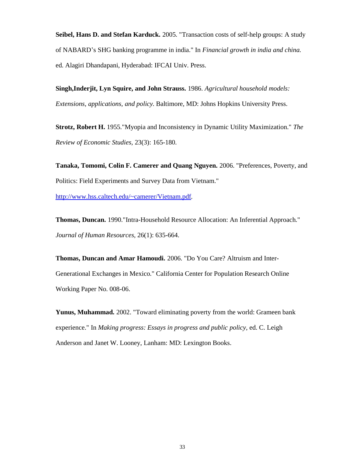**Seibel, Hans D. and Stefan Karduck.** 2005. "Transaction costs of self-help groups: A study of NABARD's SHG banking programme in india." In *Financial growth in india and china.* ed. Alagiri Dhandapani, Hyderabad: IFCAI Univ. Press.

**Singh,Inderjit, Lyn Squire, and John Strauss.** 1986. *Agricultural household models: Extensions, applications, and policy.* Baltimore, MD: Johns Hopkins University Press.

**Strotz, Robert H.** 1955."Myopia and Inconsistency in Dynamic Utility Maximization." *The Review of Economic Studies,* 23(3): 165-180.

**Tanaka, Tomomi, Colin F. Camerer and Quang Nguyen.** 2006. "Preferences, Poverty, and Politics: Field Experiments and Survey Data from Vietnam." http://www.hss.caltech.edu/~camerer/Vietnam.pdf.

**Thomas, Duncan.** 1990."Intra-Household Resource Allocation: An Inferential Approach." *Journal of Human Resources,* 26(1): 635-664.

**Thomas, Duncan and Amar Hamoudi.** 2006. "Do You Care? Altruism and Inter-Generational Exchanges in Mexico." California Center for Population Research Online Working Paper No. 008-06.

**Yunus, Muhammad.** 2002. "Toward eliminating poverty from the world: Grameen bank experience." In *Making progress: Essays in progress and public policy,* ed. C. Leigh Anderson and Janet W. Looney, Lanham: MD: Lexington Books.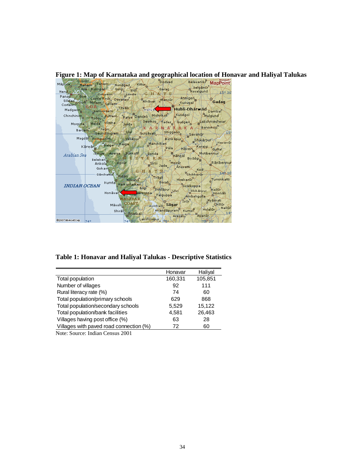**Figure 1: Map of Karnataka and geographical location of Honavar and Haliyal Talukas**

|                           | <b>Ozorim Alexandr</b>                                |                                        | 7Dødvád                 |                                       | <b>MICLOSOFT</b>                |
|---------------------------|-------------------------------------------------------|----------------------------------------|-------------------------|---------------------------------------|---------------------------------|
| Mapuca                    | Mahem Tanem Nandgad                                   | Kittur                                 |                         |                                       | Belavanik <sup>P</sup> MapPoint |
|                           | Jua Bulmpal Gunji                                     | <b>Bidi</b>                            | Garag                   | Navalgund                             |                                 |
| Nerul <sub>a</sub>        |                                                       |                                        | ⊁lT⁄ S                  |                                       | ₹5°30                           |
|                           | Panaji Goa Castle Rock Devarayi                       |                                        |                         |                                       |                                 |
|                           |                                                       | <b>P</b> Alnayak                       | Mansūr                  | Annigeri<br>Kusugal                   | <b>Gadag</b>                    |
|                           | Silidae Curti Molem Collem                            |                                        | m                       |                                       |                                 |
|                           |                                                       | $T$ itvali $\langle\langle\,\,\rangle$ | <b>CHaliya</b>          | Hubli-Dharwad Dambal                  |                                 |
|                           | Madgaon Sanvordern                                    |                                        |                         |                                       |                                 |
| $Chinchinim_{\mathbf{A}}$ | Tudou Potrem Patya Dandeli Mishrikot Kundgol AMulgund |                                        |                         |                                       |                                 |
|                           |                                                       |                                        |                         |                                       |                                 |
|                           | Morpina Maida Viliena                                 | Joidal                                 |                         | Devikop Tadas Gudgeri Blakshmeshwar   |                                 |
|                           |                                                       |                                        |                         | KARNAKAKA Bannikop                    |                                 |
|                           | Barcem Jagvi<br>Gaundongrem Ulwi Gunjāvati Shiggaon   |                                        |                         |                                       | $\sqrt{15}$                     |
|                           |                                                       |                                        |                         | – Sávanyr –                           |                                 |
|                           | Magdal Poinguinim                                     |                                        |                         | Bankapur <sub>a</sub> Shikarpur       |                                 |
|                           |                                                       |                                        |                         |                                       | Havanūr                         |
|                           | Karwar <sub>d</sub> Halge Kaiga Manchiken             |                                        | Pala <sub>i</sub>       | Karajgi                               |                                 |
|                           |                                                       |                                        |                         | Pala Haven<br>Hangal                  | Guttal <sup>in</sup>            |
| Arabian Sea               | Binge Aversa Sunksal Sonda                            |                                        |                         |                                       | Motiberinum                     |
|                           |                                                       | ESTA RA                                |                         | Byadgi                                |                                 |
|                           | Belekeri<br>Ankola Agsür<br>Ankola                    |                                        |                         | Hosur                                 | Rānībennur                      |
|                           |                                                       |                                        | Sirsi Jade              | Anavatti                              |                                 |
|                           | Gokarn <sub>n</sub>                                   | $G$ $H$                                | <b>T.S.</b>             | Kod                                   |                                 |
|                           | Sänikatta                                             |                                        |                         | Chikkerur                             | 148.30                          |
|                           |                                                       | <b>Mirian</b>                          | Tyagli                  | Hirekerur <sup>o</sup>                | Tuminkatti                      |
|                           |                                                       | Nilkund                                | Sorab <sub>n</sub>      |                                       |                                 |
| <b>INDIAN OCEAN</b>       |                                                       | Kumta Harkantarkeri                    |                         | Siralkoppa                            |                                 |
|                           |                                                       | Bilgi                                  | siddapur Ulvi           | Shikarpur                             | Hallur                          |
|                           | Honāvakī                                              | iersoppa/                              | Talguppa                |                                       | Honnali                         |
|                           |                                                       | MALABAR                                |                         | Ambaligolla                           |                                 |
|                           |                                                       |                                        | ೧೪                      | Isur A <sup>Nyāmati</sup>             |                                 |
|                           |                                                       | Mavalli COAST                          | Avinhalli Sagar         |                                       |                                 |
|                           |                                                       |                                        |                         | Anandapuram KumsR Holalur             | $N$ allu $\approx$              |
|                           | Shirali                                               | <b>Bhatkal</b>                         |                         |                                       | $-3, 14$                        |
|                           |                                                       |                                        |                         | B <sub>Ayanur</sub><br><b>Arasalu</b> |                                 |
| @2007 Microsoft Corp. 740 |                                                       |                                        | 74°30' Lakshmipur 788 8 |                                       | $-759.30$                       |

**Table 1: Honavar and Haliyal Talukas - Descriptive Statistics**

|                                         | Honavar | Haliyal |
|-----------------------------------------|---------|---------|
| Total population                        | 160,331 | 105,851 |
| Number of villages                      | 92      | 111     |
| Rural literacy rate (%)                 | 74      | 60      |
| Total population/primary schools        | 629     | 868     |
| Total population/secondary schools      | 5,529   | 15,122  |
| Total population/bank facilities        | 4,581   | 26,463  |
| Villages having post office (%)         | 63      | 28      |
| Villages with paved road connection (%) | 72      | 60      |

Note: Source: Indian Census 2001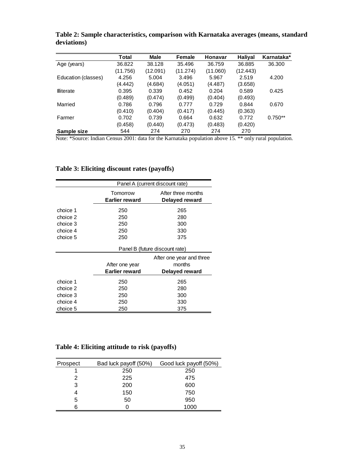|                     | Total    | Male     | Female   | Honavar  | Haliyal  | Karnataka* |
|---------------------|----------|----------|----------|----------|----------|------------|
| Age (years)         | 36.822   | 38.128   | 35.496   | 36.759   | 36.885   | 36,300     |
|                     | (11.756) | (12.091) | (11.274) | (11.060) | (12.443) |            |
| Education (classes) | 4.256    | 5.004    | 3.496    | 5.967    | 2.519    | 4.200      |
|                     | (4.442)  | (4.684)  | (4.051)  | (4.487)  | (3.658)  |            |
| <b>Illiterate</b>   | 0.395    | 0.339    | 0.452    | 0.204    | 0.589    | 0.425      |
|                     | (0.489)  | (0.474)  | (0.499)  | (0.404)  | (0.493)  |            |
| Married             | 0.786    | 0.796    | 0.777    | 0.729    | 0.844    | 0.670      |
|                     | (0.410)  | (0.404)  | (0.417)  | (0.445)  | (0.363)  |            |
| Farmer              | 0.702    | 0.739    | 0.664    | 0.632    | 0.772    | $0.750**$  |
|                     | (0.458)  | (0.440)  | (0.473)  | (0.483)  | (0.420)  |            |
| Sample size         | 544      | 274      | 270      | 274      | 270      |            |

**Table 2: Sample characteristics, comparison with Karnataka averages (means, standard deviations)**

Note: \*Source: Indian Census 2001: data for the Karnataka population above 15. \*\* only rural population.

|          |                       | Panel A (current discount rate) |
|----------|-----------------------|---------------------------------|
|          | Tomorrow              | After three months              |
|          | Earlier reward        | Delayed reward                  |
| choice 1 | 250                   | 265                             |
| choice 2 | 250                   | 280                             |
| choice 3 | 250                   | 300                             |
| choice 4 | 250                   | 330                             |
| choice 5 | 250                   | 375                             |
|          |                       | Panel B (future discount rate)  |
|          |                       | After one year and three        |
|          | After one year        | months                          |
|          | <b>Earlier reward</b> | Delayed reward                  |
| choice 1 | 250                   | 265                             |
| choice 2 | 250                   | 280                             |
| choice 3 | 250                   | 300                             |
| choice 4 | 250                   | 330                             |
| choice 5 | 250                   | 375                             |

**Table 3: Eliciting discount rates (payoffs)**

**Table 4: Eliciting attitude to risk (payoffs)**

| Prospect | Bad luck payoff (50%) | Good luck payoff (50%) |
|----------|-----------------------|------------------------|
|          | 250                   | 250                    |
| 2        | 225                   | 475                    |
| 3        | 200                   | 600                    |
|          | 150                   | 750                    |
| 5        | 50                    | 950                    |
|          |                       | 1000                   |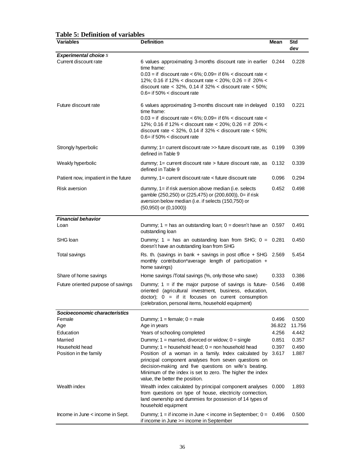| Table 3. Definition of variables<br><b>Variables</b>  | <b>Definition</b>                                                                                                                                                                                                                                                                                                 | Mean            | <b>Std</b><br>dev |
|-------------------------------------------------------|-------------------------------------------------------------------------------------------------------------------------------------------------------------------------------------------------------------------------------------------------------------------------------------------------------------------|-----------------|-------------------|
| <b>Experimental choice S</b><br>Current discount rate | 6 values approximating 3-months discount rate in earlier 0.244<br>time frame:<br>$0.03$ = if discount rate < 6%; 0.09 = if 6% < discount rate <<br>12%; 0.16 if 12% < discount rate < 20%; 0.26 = if 20% <<br>discount rate $<$ 32%, 0.14 if 32% $<$ discount rate $<$ 50%;<br>$0.6$ = if 50% < discount rate     |                 | 0.228             |
| Future discount rate                                  | 6 values approximating 3-months discount rate in delayed 0.193<br>time frame:<br>$0.03 =$ if discount rate < 6%; 0.09= if 6% < discount rate <<br>12%; 0.16 if 12% < discount rate < 20%; 0.26 = if 20% <<br>discount rate < $32\%$ , 0.14 if $32\%$ < discount rate < $50\%$ ;<br>$0.6$ = if 50% < discount rate |                 | 0.221             |
| Strongly hyperbolic                                   | dummy; $1 =$ current discount rate $\gg$ future discount rate, as 0.199<br>defined in Table 9                                                                                                                                                                                                                     |                 | 0.399             |
| Weakly hyperbolic                                     | dummy; $1 =$ current discount rate $>$ future discount rate, as<br>defined in Table 9                                                                                                                                                                                                                             | 0.132           | 0.339             |
| Patient now, impatient in the future                  | dummy, 1= current discount rate < future discount rate                                                                                                                                                                                                                                                            | 0.096           | 0.294             |
| Risk aversion                                         | dummy, 1= if risk aversion above median (i.e. selects<br>gamble (250,250) or (225,475) or (200,600)), 0= if risk<br>aversion below median (i.e. if selects (150,750) or<br>$(50,950)$ or $(0,1000)$                                                                                                               | 0.452           | 0.498             |
| <b>Financial behavior</b><br>Loan                     | Dummy; $1 =$ has an outstanding loan; $0 =$ doesn't have an $0.597$<br>outstanding loan                                                                                                                                                                                                                           |                 | 0.491             |
| SHG loan                                              | Dummy; $1 =$ has an outstanding loan from SHG; $0 = 0.281$<br>doesn't have an outstanding loan from SHG                                                                                                                                                                                                           |                 | 0.450             |
| Total savings                                         | Rs. th. (savings in bank $+$ savings in post office $+$ SHG 2.569<br>monthly contribution*average length of participation +<br>home savings)                                                                                                                                                                      |                 | 5.454             |
| Share of home savings                                 | Home savings / Total savings (%, only those who save)                                                                                                                                                                                                                                                             | 0.333           | 0.386             |
| Future oriented purpose of savings                    | Dummy; $1 =$ if the major purpose of savings is future-<br>oriented (agricultural investment, business, education,<br>doctor); $0 =$ if it focuses on current consumption<br>(celebration, personal items, household equipment)                                                                                   | 0.546           | 0.498             |
| Socioeconomic characteristics                         |                                                                                                                                                                                                                                                                                                                   |                 |                   |
| Female                                                | Dummy; $1 = \text{female}$ ; $0 = \text{male}$                                                                                                                                                                                                                                                                    | 0.496           | 0.500             |
| Age<br>Education                                      | Age in years<br>Years of schooling completed                                                                                                                                                                                                                                                                      | 36.822<br>4.256 | 11.756<br>4.442   |
| Married                                               | Dummy; $1 =$ married, divorced or widow; $0 =$ single                                                                                                                                                                                                                                                             | 0.851           | 0.357             |
| Household head                                        | Dummy; $1 =$ household head; $0 =$ non household head                                                                                                                                                                                                                                                             | 0.397           | 0.490             |
| Position in the family                                | Position of a woman in a family. Index calculated by<br>principal component analyses from seven questions on<br>decision-making and five questions on wife's beating.<br>Minimum of the index is set to zero. The higher the index<br>value, the better the position.                                             | 3.617           | 1.887             |
| Wealth index                                          | Wealth index calculated by principal component analyses 0.000<br>from questions on type of house, electricity connection,<br>land ownership and dummies for possesion of 14 types of<br>household equipment                                                                                                       |                 | 1.893             |
| Income in June < income in Sept.                      | Dummy; $1 =$ if income in June $\lt$ income in September; $0 = 0.496$<br>if income in June >= income in September                                                                                                                                                                                                 |                 | 0.500             |

**Table 5: Definition of variables**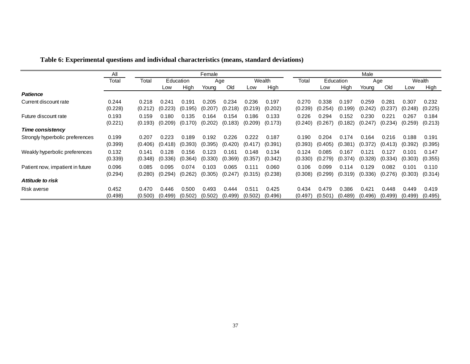|                                  | All     | Female  |         |           |         |         |         | Male    |         |         |           |         |         |         |         |
|----------------------------------|---------|---------|---------|-----------|---------|---------|---------|---------|---------|---------|-----------|---------|---------|---------|---------|
|                                  | Total   | Total   |         | Education |         | Age     |         | Wealth  | Total   |         | Education |         | Age     |         | Wealth  |
|                                  |         |         | Low     | High      | Young   | Old     | Low     | High    |         | Low     | High      | Young   | Old     | Low     | High    |
| <b>Patience</b>                  |         |         |         |           |         |         |         |         |         |         |           |         |         |         |         |
| Current discount rate            | 0.244   | 0.218   | 0.241   | 0.191     | 0.205   | 0.234   | 0.236   | 0.197   | 0.270   | 0.338   | 0.197     | 0.259   | 0.281   | 0.307   | 0.232   |
|                                  | (0.228) | (0.212) | (0.223) | (0.195)   | (0.207) | (0.218) | (0.219) | (0.202) | (0.239) | (0.254) | (0.199)   | (0.242) | (0.237) | (0.248) | (0.225) |
| Future discount rate             | 0.193   | 0.159   | 0.180   | 0.135     | 0.164   | 0.154   | 0.186   | 0.133   | 0.226   | 0.294   | 0.152     | 0.230   | 0.221   | 0.267   | 0.184   |
|                                  | (0.221) | (0.193) | (0.209) | (0.170)   | (0.202) | (0.183) | (0.209) | (0.173) | (0.240) | (0.267) | (0.182)   | (0.247) | (0.234) | (0.259) | (0.213) |
| <b>Time consistency</b>          |         |         |         |           |         |         |         |         |         |         |           |         |         |         |         |
| Strongly hyperbolic preferences  | 0.199   | 0.207   | 0.223   | 0.189     | 0.192   | 0.226   | 0.222   | 0.187   | 0.190   | 0.204   | 0.174     | 0.164   | 0.216   | 0.188   | 0.191   |
|                                  | (0.399) | (0.406) | (0.418) | (0.393)   | (0.395) | (0.420) | (0.417) | (0.391) | (0.393) | (0.405) | (0.381)   | (0.372) | (0.413) | (0.392) | (0.395) |
| Weakly hyperbolic preferences    | 0.132   | 0.141   | 0.128   | 0.156     | 0.123   | 0.161   | 0.148   | 0.134   | 0.124   | 0.085   | 0.167     | 0.121   | 0.127   | 0.101   | 0.147   |
|                                  | (0.339) | (0.348) | (0.336) | (0.364)   | (0.330) | (0.369) | (0.357) | (0.342) | (0.330) | (0.279) | (0.374)   | (0.328) | (0.334) | (0.303) | (0.355) |
| Patient now, impatient in future | 0.096   | 0.085   | 0.095   | 0.074     | 0.103   | 0.065   | 0.111   | 0.060   | 0.106   | 0.099   | 0.114     | 0.129   | 0.082   | 0.101   | 0.110   |
|                                  | (0.294) | (0.280) | (0.294) | (0.262)   | (0.305) | (0.247) | (0.315) | (0.238) | (0.308) | (0.299) | (0.319)   | (0.336) | (0.276) | (0.303) | (0.314) |
| Attitude to risk                 |         |         |         |           |         |         |         |         |         |         |           |         |         |         |         |
| Risk averse                      | 0.452   | 0.470   | 0.446   | 0.500     | 0.493   | 0.444   | 0.511   | 0.425   | 0.434   | 0.479   | 0.386     | 0.421   | 0.448   | 0.449   | 0.419   |
|                                  | (0.498) | (0.500) | (0.499) | (0.502)   | (0.502) | (0.499) | (0.502) | (0.496) | (0.497) | (0.501) | (0.489)   | (0.496) | (0.499) | (0.499) | (0.495) |

**Table 6: Experimental questions and individual characteristics (means, standard deviations)**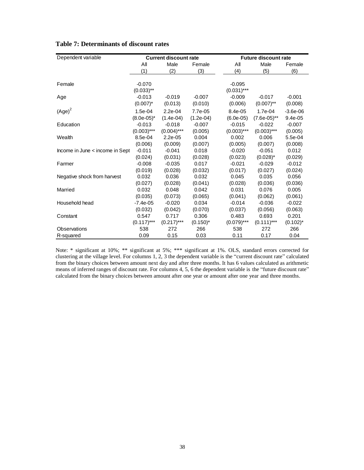| Dependent variable              |               | <b>Current discount rate</b> |             |               | <b>Future discount rate</b> |             |
|---------------------------------|---------------|------------------------------|-------------|---------------|-----------------------------|-------------|
|                                 | All           | Male                         | Female      | All           | Male                        | Female      |
|                                 | (1)           | (2)                          | (3)         | (4)           | (5)                         | (6)         |
|                                 |               |                              |             |               |                             |             |
| Female                          | $-0.070$      |                              |             | $-0.095$      |                             |             |
|                                 | $(0.033)$ **  |                              |             | $(0.031)$ *** |                             |             |
| Age                             | $-0.013$      | $-0.019$                     | $-0.007$    | $-0.009$      | $-0.017$                    | $-0.001$    |
|                                 | $(0.007)^*$   | (0.013)                      | (0.010)     | (0.006)       | $(0.007)$ **                | (0.008)     |
| $(Age)^2$                       | 1.5e-04       | $2.2e-04$                    | 7.7e-05     | 8.4e-05       | 1.7e-04                     | $-3.6e-06$  |
|                                 | $(8.0e-05)^*$ | $(1.4e-04)$                  | $(1.2e-04)$ | $(6.0e-05)$   | $(7.6e-05)$ **              | 9.4e-05     |
| Education                       | $-0.013$      | $-0.018$                     | $-0.007$    | $-0.015$      | $-0.022$                    | $-0.007$    |
|                                 | $(0.003)$ *** | $(0.004)$ ***                | (0.005)     | $(0.003)$ *** | $(0.003)$ ***               | (0.005)     |
| Wealth                          | 8.5e-04       | $2.2e-05$                    | 0.004       | 0.002         | 0.006                       | 5.5e-04     |
|                                 | (0.006)       | (0.009)                      | (0.007)     | (0.005)       | (0.007)                     | (0.008)     |
| Income in June < income in Sept | $-0.011$      | $-0.041$                     | 0.018       | $-0.020$      | $-0.051$                    | 0.012       |
|                                 | (0.024)       | (0.031)                      | (0.028)     | (0.023)       | $(0.028)^*$                 | (0.029)     |
| Farmer                          | $-0.008$      | $-0.035$                     | 0.017       | $-0.021$      | $-0.029$                    | $-0.012$    |
|                                 | (0.019)       | (0.028)                      | (0.032)     | (0.017)       | (0.027)                     | (0.024)     |
| Negative shock from harvest     | 0.032         | 0.036                        | 0.032       | 0.045         | 0.035                       | 0.056       |
|                                 | (0.027)       | (0.028)                      | (0.041)     | (0.028)       | (0.036)                     | (0.036)     |
| Married                         | 0.032         | 0.048                        | 0.042       | 0.031         | 0.076                       | 0.005       |
|                                 | (0.035)       | (0.073)                      | (0.065)     | (0.041)       | (0.062)                     | (0.061)     |
| Household head                  | $-7.4e-05$    | $-0.020$                     | 0.034       | $-0.014$      | $-0.036$                    | $-0.022$    |
|                                 | (0.032)       | (0.042)                      | (0.070)     | (0.037)       | (0.056)                     | (0.063)     |
| Constant                        | 0.547         | 0.717                        | 0.306       | 0.483         | 0.693                       | 0.201       |
|                                 | $(0.117)***$  | $(0.217)$ ***                | $(0.150)^*$ | $(0.079)$ *** | $(0.111)***$                | $(0.102)^*$ |
| Observations                    | 538           | 272                          | 266         | 538           | 272                         | 266         |
| R-squared                       | 0.09          | 0.15                         | 0.03        | 0.11          | 0.17                        | 0.04        |

#### **Table 7: Determinants of discount rates**

Note: \* significant at 10%; \*\* significant at 5%; \*\*\* significant at 1%. OLS, standard errors corrected for clustering at the village level. For columns 1, 2, 3 the dependent variable is the "current discount rate"calculated from the binary choices between amount next day and after three months. It has 6 values calculated as arithmetic means of inferred ranges of discount rate. For columns 4, 5, 6 the dependent variable is the "future discount rate" calculated from the binary choices between amount after one year or amount after one year and three months.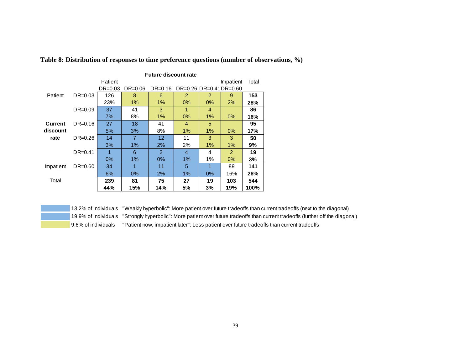|                |             | <b>Future discount rate</b> |             |               |                         |       |           |       |  |  |  |  |
|----------------|-------------|-----------------------------|-------------|---------------|-------------------------|-------|-----------|-------|--|--|--|--|
|                |             | Patient                     |             |               |                         |       | Impatient | Total |  |  |  |  |
|                |             | $DR = 0.03$                 | $DR = 0.06$ | $DR = 0.16$   | DR=0.26 DR=0.41 DR=0.60 |       |           |       |  |  |  |  |
| Patient        | $DR=0.03$   | 126                         | 8           | 6             | 2                       | 2     | 9         | 153   |  |  |  |  |
|                |             | 23%                         | 1%          | $1\%$         | $0\%$                   | $0\%$ | 2%        | 28%   |  |  |  |  |
|                | $DR = 0.09$ | 37                          | 41          | 3             | 1                       | 4     |           | 86    |  |  |  |  |
|                |             | 7%                          | 8%          | $1\%$         | $0\%$                   | 1%    | $0\%$     | 16%   |  |  |  |  |
| <b>Current</b> | $DR = 0.16$ | 27                          | 18          | 41            | 4                       | 5     |           | 95    |  |  |  |  |
| discount       |             | 5%                          | 3%          | 8%            | 1%                      | 1%    | $0\%$     | 17%   |  |  |  |  |
| rate           | $DR = 0.26$ | 14                          | 7           | 12            | 11                      | 3     | 3         | 50    |  |  |  |  |
|                |             | 3%                          | 1%          | 2%            | 2%                      | 1%    | 1%        | 9%    |  |  |  |  |
|                | $DR = 0.41$ | 1                           | 6           | $\mathcal{P}$ | 4                       | 4     | 2         | 19    |  |  |  |  |
|                |             | $0\%$                       | 1%          | $0\%$         | 1%                      | 1%    | 0%        | 3%    |  |  |  |  |
| Impatient      | $DR = 0.60$ | 34                          | 1           | 11            | 5                       | 1     | 89        | 141   |  |  |  |  |
|                |             | 6%                          | $0\%$       | 2%            | 1%                      | 0%    | 16%       | 26%   |  |  |  |  |
| Total          |             | 239                         | 81          | 75            | 27                      | 19    | 103       | 544   |  |  |  |  |
|                |             | 44%                         | 15%         | 14%           | 5%                      | 3%    | 19%       | 100%  |  |  |  |  |

**Table 8: Distribution of responses to time preference questions (number of observations, %)**

13.2% of individuals "Weakly hyperbolic": More patient over future tradeoffs than current tradeoffs (next to the diagonal) 19.9% of individuals "Strongly hyperbolic": More patient over future tradeoffs than current tradeoffs (further off the diagonal) 9.6% of individuals "Patient now, impatient later": Less patient over future tradeoffs than current tradeoffs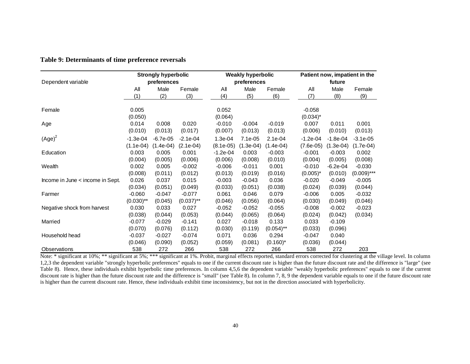|                                  |                           | <b>Strongly hyperbolic</b> |                           |                          | <b>Weakly hyperbolic</b> |                          |                           | Patient now, impatient in the |                           |  |  |
|----------------------------------|---------------------------|----------------------------|---------------------------|--------------------------|--------------------------|--------------------------|---------------------------|-------------------------------|---------------------------|--|--|
| Dependent variable               |                           | preferences                |                           |                          | preferences              |                          |                           | future                        |                           |  |  |
|                                  | Αll                       | Male                       | Female                    | All                      | Male                     | Female                   | All                       | Male                          | Female                    |  |  |
|                                  | (1)                       | (2)                        | (3)                       | (4)                      | (5)                      | (6)                      | (7)                       | (8)                           | (9)                       |  |  |
| Female                           | 0.005<br>(0.050)          |                            |                           | 0.052<br>(0.064)         |                          |                          | $-0.058$<br>$(0.034)^*$   |                               |                           |  |  |
| Age                              | 0.014<br>(0.010)          | 0.008<br>(0.013)           | 0.020<br>(0.017)          | $-0.010$<br>(0.007)      | $-0.004$<br>(0.013)      | $-0.019$<br>(0.013)      | 0.007<br>(0.006)          | 0.011<br>(0.010)              | 0.001<br>(0.013)          |  |  |
| $(Age)^2$                        | $-1.3e-04$<br>$(1.1e-04)$ | $-6.7e-05$<br>$(1.4e-04)$  | $-2.1e-04$<br>$(2.1e-04)$ | $1.3e-04$<br>$(8.1e-05)$ | 7.1e-05<br>$(1.3e-04)$   | $2.1e-04$<br>$(1.4e-04)$ | $-1.2e-04$<br>$(7.6e-05)$ | $-1.8e-04$<br>$(1.3e-04)$     | $-3.1e-05$<br>$(1.7e-04)$ |  |  |
| Education                        | 0.003<br>(0.004)          | 0.005<br>(0.005)           | 0.001<br>(0.006)          | $-1.2e-04$<br>(0.006)    | 0.003<br>(0.008)         | $-0.003$<br>(0.010)      | $-0.001$<br>(0.004)       | $-0.003$<br>(0.005)           | 0.002<br>(0.008)          |  |  |
| Wealth                           | 0.002<br>(0.008)          | 0.005<br>(0.011)           | $-0.002$<br>(0.012)       | $-0.006$<br>(0.013)      | $-0.011$<br>(0.019)      | 0.001<br>(0.016)         | $-0.010$<br>$(0.005)^*$   | $-6.2e-04$<br>(0.010)         | $-0.030$<br>$(0.009)$ *** |  |  |
| Income in June < income in Sept. | 0.026<br>(0.034)          | 0.037<br>(0.051)           | 0.015<br>(0.049)          | $-0.003$<br>(0.033)      | $-0.043$<br>(0.051)      | 0.036<br>(0.038)         | $-0.020$<br>(0.024)       | $-0.049$<br>(0.039)           | $-0.005$<br>(0.044)       |  |  |
| Farmer                           | $-0.060$<br>$(0.030)$ **  | $-0.047$<br>(0.045)        | $-0.077$<br>$(0.037)$ **  | 0.061<br>(0.046)         | 0.046<br>(0.056)         | 0.079<br>(0.064)         | $-0.006$<br>(0.030)       | 0.005<br>(0.049)              | $-0.032$<br>(0.046)       |  |  |
| Negative shock from harvest      | 0.030<br>(0.038)          | 0.033<br>(0.044)           | 0.027<br>(0.053)          | $-0.052$<br>(0.044)      | $-0.052$<br>(0.065)      | $-0.055$<br>(0.064)      | $-0.008$<br>(0.024)       | $-0.002$<br>(0.042)           | $-0.023$<br>(0.034)       |  |  |
| Married                          | $-0.077$<br>(0.070)       | $-0.029$<br>(0.076)        | $-0.141$<br>(0.112)       | 0.027<br>(0.030)         | $-0.018$<br>(0.119)      | 0.133<br>$(0.054)$ **    | 0.033<br>(0.033)          | $-0.109$<br>(0.096)           |                           |  |  |
| Household head                   | $-0.037$<br>(0.046)       | $-0.027$<br>(0.090)        | $-0.074$<br>(0.052)       | 0.071<br>(0.059)         | 0.036<br>(0.081)         | 0.294<br>$(0.160)^*$     | $-0.047$<br>(0.036)       | 0.040<br>(0.044)              |                           |  |  |
| Observations                     | 538                       | 272                        | 266                       | 538                      | 272                      | 266                      | 538                       | 272                           | 203                       |  |  |

**Table 9: Determinants of time preference reversals**

Note: \* significant at 10%; \*\* significant at 5%; \*\*\* significant at 1%. Probit, marginal effects reported, standard errors corrected for clustering at the village level. In column 1,2,3 the dependent variable "strongly hyperbolic preferences" equals to one if the current discount rate is higher than the future discount rate and the difference is "large" (see Table 8). Hence, these individuals exhibit hyperbolic time preferences. In column 4,5,6 the dependent variable "weakly hyperbolic preferences" equals to one if the current discount rate is higher than the future discount rate and the difference is "small" (see Table 8). In column 7, 8, 9 the dependent variable equals to one if the future discount rate is higher than the current discount rate. Hence, these individuals exhibit time inconsistency, but not in the direction associated with hyperbolicity.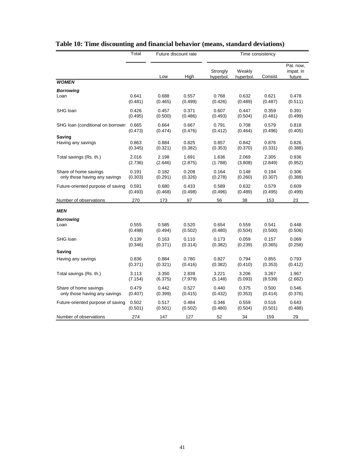|                                    | Total   | Future discount rate |         | Time consistency      |                     |          |                                  |  |
|------------------------------------|---------|----------------------|---------|-----------------------|---------------------|----------|----------------------------------|--|
|                                    |         | Low                  | High    | Strongly<br>hyperbol. | Weakly<br>hyperbol. | Consist. | Pat. now,<br>impat. in<br>future |  |
| <b>WOMEN</b>                       |         |                      |         |                       |                     |          |                                  |  |
| <b>Borrowing</b>                   |         |                      |         |                       |                     |          |                                  |  |
| Loan                               | 0.641   | 0.688                | 0.557   | 0.768                 | 0.632               | 0.621    | 0.478                            |  |
|                                    | (0.481) | (0.465)              | (0.499) | (0.426)               | (0.489)             | (0.487)  | (0.511)                          |  |
| SHG loan                           | 0.426   | 0.457                | 0.371   | 0.607                 | 0.447               | 0.359    | 0.391                            |  |
|                                    | (0.495) | (0.500)              | (0.486) | (0.493)               | (0.504)             | (0.481)  | (0.499)                          |  |
| SHG Ioan (conditional on borrowin  | 0.665   | 0.664                | 0.667   | 0.791                 | 0.708               | 0.579    | 0.818                            |  |
|                                    | (0.473) | (0.474)              | (0.476) | (0.412)               | (0.464)             | (0.496)  | (0.405)                          |  |
| Saving                             |         |                      |         |                       |                     |          |                                  |  |
| Having any savings                 | 0.863   | 0.884                | 0.825   | 0.857                 | 0.842               | 0.876    | 0.826                            |  |
|                                    | (0.345) | (0.321)              | (0.382) | (0.353)               | (0.370)             | (0.331)  | (0.388)                          |  |
| Total savings (Rs. th.)            | 2.016   | 2.198                | 1.691   | 1.636                 | 2.069               | 2.305    | 0.936                            |  |
|                                    | (2.736) | (2.646)              | (2.875) | (1.788)               | (3.808)             | (2.849)  | (0.952)                          |  |
| Share of home savings              | 0.191   | 0.182                | 0.208   | 0.164                 | 0.148               | 0.194    | 0.306                            |  |
| only those having any savings      | (0.303) | (0.291)              | (0.326) | (0.278)               | (0.260)             | (0.307)  | (0.388)                          |  |
| Future-oriented purpose of saving: | 0.591   | 0.680                | 0.433   | 0.589                 | 0.632               | 0.579    | 0.609                            |  |
|                                    | (0.493) | (0.468)              | (0.498) | (0.496)               | (0.489)             | (0.495)  | (0.499)                          |  |
| Number of observations             | 270     | 173                  | 97      | 56                    | 38                  | 153      | 23                               |  |
| MEN                                |         |                      |         |                       |                     |          |                                  |  |
| <b>Borrowing</b>                   | 0.555   | 0.585                | 0.520   | 0.654                 | 0.559               | 0.541    | 0.448                            |  |
| Loan                               | (0.498) | (0.494)              | (0.502) | (0.480)               | (0.504)             | (0.500)  | (0.506)                          |  |
| SHG loan                           | 0.139   | 0.163                | 0.110   | 0.173                 | 0.059               | 0.157    | 0.069                            |  |
|                                    | (0.346) | (0.371)              | (0.314) | (0.382)               | (0.239)             | (0.365)  | (0.258)                          |  |
| Saving                             |         |                      |         |                       |                     |          |                                  |  |
| Having any savings                 | 0.836   | 0.884                | 0.780   | 0.827                 | 0.794               | 0.855    | 0.793                            |  |
|                                    | (0.371) | (0.321)              | (0.416) | (0.382)               | (0.410)             | (0.353)  | (0.412)                          |  |
| Total savings (Rs. th.)            | 3.113   | 3.350                | 2.839   | 3.221                 | 3.206               | 3.267    | 1.967                            |  |
|                                    | (7.154) | (6.375)              | (7.979) | (5.148)               | (5.093)             | (8.539)  | (2.682)                          |  |
| Share of home savings              | 0.479   | 0.442                | 0.527   | 0.440                 | 0.375               | 0.500    | 0.546                            |  |
| only those having any savings      | (0.407) | (0.399)              | (0.415) | (0.432)               | (0.353)             | (0.414)  | (0.376)                          |  |
| Future-oriented purpose of saving: | 0.502   | 0.517                | 0.484   | 0.346                 | 0.559               | 0.516    | 0.643                            |  |
|                                    | (0.501) | (0.501)              | (0.502) | (0.480)               | (0.504)             | (0.501)  | (0.488)                          |  |
| Number of observations             | 274     | 147                  | 127     | 52                    | 34                  | 159      | 29                               |  |

## **Table 10: Time discounting and financial behavior (means, standard deviations)**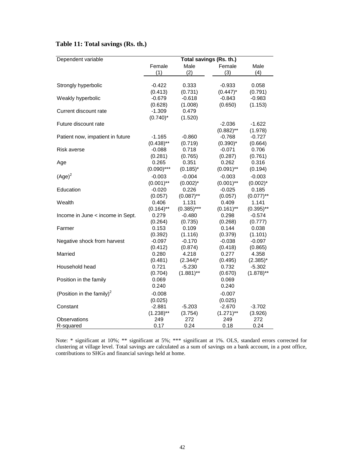## **Table 11: Total savings (Rs. th.)**

| Dependent variable                    | Total savings (Rs. th.) |               |              |              |  |  |  |
|---------------------------------------|-------------------------|---------------|--------------|--------------|--|--|--|
|                                       | Female                  | Male          | Female       | Male         |  |  |  |
|                                       | (1)                     | (2)           | (3)          | (4)          |  |  |  |
|                                       |                         |               |              |              |  |  |  |
| Strongly hyperbolic                   | $-0.422$                | 0.333         | $-0.933$     | 0.058        |  |  |  |
|                                       | (0.413)                 | (0.731)       | $(0.447)^*$  | (0.791)      |  |  |  |
| Weakly hyperbolic                     | $-0.679$                | $-0.618$      | $-0.843$     | $-0.983$     |  |  |  |
|                                       | (0.628)                 | (1.008)       | (0.650)      | (1.153)      |  |  |  |
| Current discount rate                 | $-1.309$                | 0.479         |              |              |  |  |  |
|                                       | $(0.740)^*$             | (1.520)       |              |              |  |  |  |
| Future discount rate                  |                         |               | $-2.036$     | $-1.622$     |  |  |  |
|                                       |                         |               | $(0.882)$ ** | (1.978)      |  |  |  |
| Patient now, impatient in future      | $-1.165$                | $-0.860$      | $-0.768$     | $-0.727$     |  |  |  |
|                                       | $(0.438)$ **            | (0.719)       | $(0.390)^*$  | (0.664)      |  |  |  |
| <b>Risk averse</b>                    | $-0.088$                | 0.718         | $-0.071$     | 0.706        |  |  |  |
|                                       | (0.281)                 | (0.765)       | (0.287)      | (0.761)      |  |  |  |
| Age                                   | 0.265                   | 0.351         | 0.262        | 0.316        |  |  |  |
|                                       | $(0.090)$ ***           | $(0.185)^*$   | $(0.091)$ ** | (0.194)      |  |  |  |
| $(Age)^2$                             | $-0.003$                | $-0.004$      | $-0.003$     | $-0.003$     |  |  |  |
|                                       | $(0.001)$ **            | $(0.002)^{*}$ | $(0.001)$ ** | $(0.002)^*$  |  |  |  |
| Education                             | $-0.020$                | 0.226         | $-0.025$     | 0.185        |  |  |  |
|                                       | (0.057)                 | $(0.087)$ **  | (0.057)      | $(0.077)$ ** |  |  |  |
| Wealth                                | 0.406                   | 1.131         | 0.409        | 1.141        |  |  |  |
|                                       | $(0.164)$ **            | $(0.385)$ *** | $(0.161)$ ** | $(0.395)$ ** |  |  |  |
| Income in June < income in Sept.      | 0.279                   | $-0.480$      | 0.298        | $-0.574$     |  |  |  |
|                                       | (0.264)                 | (0.735)       | (0.268)      | (0.777)      |  |  |  |
| Farmer                                | 0.153                   | 0.109         | 0.144        | 0.038        |  |  |  |
|                                       | (0.392)                 | (1.116)       | (0.379)      | (1.101)      |  |  |  |
| Negative shock from harvest           | $-0.097$                | $-0.170$      | $-0.038$     | $-0.097$     |  |  |  |
|                                       | (0.412)                 | (0.874)       | (0.418)      | (0.865)      |  |  |  |
| Married                               | 0.280                   | 4.218         | 0.277        | 4.358        |  |  |  |
|                                       | (0.481)                 | $(2.344)^*$   | (0.495)      | $(2.385)^*$  |  |  |  |
| Household head                        | 0.721                   | $-5.230$      | 0.732        | $-5.302$     |  |  |  |
|                                       | (0.704)                 | $(1.881)$ **  | (0.670)      | $(1.878)$ ** |  |  |  |
| Position in the family                | 0.069                   |               | 0.069        |              |  |  |  |
|                                       | 0.240                   |               | 0.240        |              |  |  |  |
| (Position in the family) <sup>2</sup> | $-0.008$                |               | $-0.007$     |              |  |  |  |
|                                       | (0.025)                 |               | (0.025)      |              |  |  |  |
| Constant                              | $-2.881$                | $-5.203$      | $-2.670$     | $-3.702$     |  |  |  |
|                                       | $(1.238)$ **            | (3.754)       | $(1.271)$ ** | (3.926)      |  |  |  |
| Observations                          | 249                     | 272           | 249          | 272          |  |  |  |
| R-squared                             | 0.17                    | 0.24          | 0.18         | 0.24         |  |  |  |

Note: \* significant at 10%; \*\* significant at 5%; \*\*\* significant at 1%. OLS, standard errors corrected for clustering at village level. Total savings are calculated as a sum of savings on a bank account, in a post office, contributions to SHGs and financial savings held at home.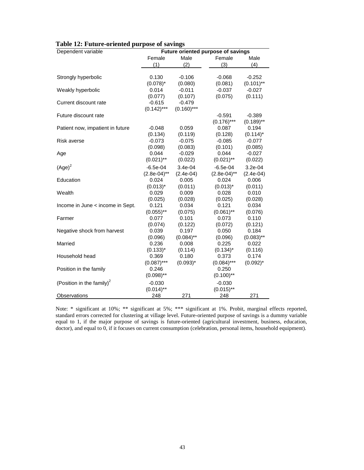| Dependent variable                    | <b>Future oriented purpose of savings</b> |               |                |              |  |  |
|---------------------------------------|-------------------------------------------|---------------|----------------|--------------|--|--|
|                                       | Female                                    | Male          | Female         | Male         |  |  |
|                                       | (1)                                       | (2)           | (3)            | (4)          |  |  |
|                                       |                                           |               |                |              |  |  |
| Strongly hyperbolic                   | 0.130                                     | $-0.106$      | $-0.068$       | $-0.252$     |  |  |
|                                       | $(0.078)^*$                               | (0.080)       | (0.081)        | $(0.101)$ ** |  |  |
| Weakly hyperbolic                     | 0.014                                     | $-0.011$      | $-0.037$       | $-0.027$     |  |  |
|                                       | (0.077)                                   | (0.107)       | (0.075)        | (0.111)      |  |  |
| Current discount rate                 | $-0.615$                                  | $-0.479$      |                |              |  |  |
|                                       | $(0.142)$ ***                             | $(0.160)$ *** |                |              |  |  |
| Future discount rate                  |                                           |               | $-0.591$       | $-0.389$     |  |  |
|                                       |                                           |               | $(0.176)$ ***  | $(0.189)$ ** |  |  |
| Patient now, impatient in future      | $-0.048$                                  | 0.059         | 0.087          | 0.194        |  |  |
|                                       | (0.134)                                   | (0.119)       | (0.128)        | $(0.114)^*$  |  |  |
| <b>Risk averse</b>                    | $-0.073$                                  | $-0.075$      | $-0.085$       | $-0.077$     |  |  |
|                                       | (0.098)                                   | (0.083)       | (0.101)        | (0.085)      |  |  |
| Age                                   | 0.044                                     | $-0.029$      | 0.044          | $-0.027$     |  |  |
|                                       | $(0.021)$ **                              | (0.022)       | $(0.021)$ **   | (0.022)      |  |  |
| $(Age)^2$                             | $-6.5e-04$                                | 3.4e-04       | $-6.5e-04$     | $3.2e-04$    |  |  |
|                                       | $(2.8e-04)$ **                            | $(2.4e-04)$   | $(2.8e-04)$ ** | $(2.4e-04)$  |  |  |
| Education                             | 0.024                                     | 0.005         | 0.024          | 0.006        |  |  |
|                                       | $(0.013)^*$                               | (0.011)       | $(0.013)^*$    | (0.011)      |  |  |
| Wealth                                | 0.029                                     | 0.009         | 0.028          | 0.010        |  |  |
|                                       | (0.025)                                   | (0.028)       | (0.025)        | (0.028)      |  |  |
| Income in June < income in Sept.      | 0.121                                     | 0.034         | 0.121          | 0.034        |  |  |
|                                       | $(0.055)$ **                              | (0.075)       | $(0.061)$ **   | (0.076)      |  |  |
| Farmer                                | 0.077                                     | 0.101         | 0.073          | 0.110        |  |  |
|                                       | (0.074)                                   | (0.122)       | (0.072)        | (0.121)      |  |  |
| Negative shock from harvest           | 0.039                                     | 0.197         | 0.050          | 0.184        |  |  |
|                                       | (0.096)                                   | $(0.084)$ **  | (0.096)        | $(0.083)$ ** |  |  |
| Married                               | 0.236                                     | 0.008         | 0.225          | 0.022        |  |  |
|                                       | $(0.133)^*$                               | (0.114)       | $(0.134)^*$    | (0.116)      |  |  |
| Household head                        | 0.369                                     | 0.180         | 0.373          | 0.174        |  |  |
|                                       | $(0.087)$ ***                             | $(0.093)^*$   | $(0.084)$ ***  | $(0.092)^*$  |  |  |
| Position in the family                | 0.246                                     |               | 0.250          |              |  |  |
|                                       | $(0.098)$ **                              |               | $(0.100)$ **   |              |  |  |
| (Position in the family) <sup>2</sup> | $-0.030$                                  |               | $-0.030$       |              |  |  |
|                                       | $(0.014)$ **                              |               | $(0.015)$ **   |              |  |  |
| Observations                          | 248                                       | 271           | 248            | 271          |  |  |

| Table 12: Future-oriented purpose of savings |  |
|----------------------------------------------|--|
|----------------------------------------------|--|

Note: \* significant at 10%; \*\* significant at 5%; \*\*\* significant at 1%. Probit, marginal effects reported, standard errors corrected for clustering at village level. Future-oriented purpose of savings is a dummy variable equal to 1, if the major purpose of savings is future-oriented (agricultural investment, business, education, doctor), and equal to 0, if it focuses on current consumption (celebration, personal items, household equipment).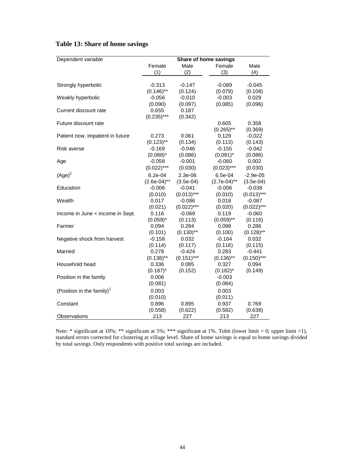## **Table 13: Share of home savings**

| Dependent variable                    | Share of home savings |                          |                       |                           |  |
|---------------------------------------|-----------------------|--------------------------|-----------------------|---------------------------|--|
|                                       | Female                | Male                     | Female                | Male                      |  |
|                                       | (1)                   | (2)                      | (3)                   | (4)                       |  |
|                                       |                       |                          |                       |                           |  |
| Strongly hyperbolic                   | $-0.313$              | $-0.147$                 | $-0.089$              | $-0.045$                  |  |
|                                       | $(0.146)$ **          | (0.124)                  | (0.079)               | (0.108)                   |  |
| Weakly hyperbolic                     | $-0.056$              | $-0.010$                 | $-0.003$              | 0.029                     |  |
|                                       | (0.090)               | (0.097)                  | (0.085)               | (0.096)                   |  |
| Current discount rate                 | 0.655                 | 0.187                    |                       |                           |  |
|                                       | $(0.235)$ ***         | (0.342)                  |                       |                           |  |
| Future discount rate                  |                       |                          | 0.605                 | 0.358                     |  |
|                                       |                       |                          | $(0.265)$ **          | (0.369)                   |  |
| Patient now, impatient in future      | 0.273                 | 0.061                    | 0.129                 | $-0.022$                  |  |
|                                       | $(0.123)$ **          | (0.134)                  | (0.113)               | (0.143)                   |  |
| Risk averse                           | $-0.169$              | $-0.046$                 | $-0.155$              | $-0.042$                  |  |
|                                       | $(0.088)^*$           | (0.086)                  | $(0.091)^*$           | (0.086)                   |  |
| Age                                   | $-0.058$              | $-0.001$                 | $-0.060$              | 0.002                     |  |
|                                       | $(0.022)$ ***         | (0.030)                  | $(0.023)$ ***         | (0.030)                   |  |
| $(Age)^2$                             | $6.2e-04$             | $2.3e-06$                | 6.5e-04               | $-2.9e-05$                |  |
|                                       | $(2.6e-04)$ **        | $(3.5e-04)$              | $(2.7e-04)$ **        | $(3.5e-04)$               |  |
| Education                             | $-0.006$              | $-0.041$                 | $-0.006$              | $-0.038$                  |  |
|                                       | (0.010)               | $(0.013)***$             | (0.010)               | $(0.013)***$              |  |
| Wealth                                | 0.017                 | $-0.086$                 | 0.018                 | $-0.087$                  |  |
|                                       | (0.021)               | $(0.022)$ ***            | (0.020)               | $(0.022)$ ***             |  |
| Income in June < income in Sept.      | 0.116                 | $-0.069$                 | 0.119                 | $-0.060$                  |  |
|                                       | $(0.059)^*$           | (0.113)                  | $(0.059)$ **          | (0.116)                   |  |
| Farmer                                | 0.094                 | 0.284                    | 0.098                 | 0.286                     |  |
|                                       | (0.101)               | $(0.130)$ **             | (0.100)               | $(0.128)$ **              |  |
| Negative shock from harvest           | $-0.158$              | 0.032                    | $-0.164$              | 0.032                     |  |
|                                       | (0.114)               | (0.117)                  | (0.116)               | (0.115)                   |  |
| Married                               | 0.278<br>$(0.138)$ ** | $-0.424$<br>$(0.151)***$ | 0.283<br>$(0.136)$ ** | $-0.441$<br>$(0.150)$ *** |  |
| Household head                        | 0.336                 | 0.085                    | 0.327                 | 0.094                     |  |
|                                       | $(0.187)^*$           | (0.152)                  | $(0.182)^*$           | (0.149)                   |  |
| Position in the family                | 0.006                 |                          | $-0.003$              |                           |  |
|                                       |                       |                          | (0.084)               |                           |  |
|                                       | (0.081)               |                          |                       |                           |  |
| (Position in the family) <sup>2</sup> | 0.003                 |                          | 0.003                 |                           |  |
|                                       | (0.010)               |                          | (0.011)               |                           |  |
| Constant                              | 0.896                 | 0.895                    | 0.937                 | 0.769                     |  |
|                                       | (0.558)               | (0.622)<br>227           | (0.582)               | (0.638)<br>227            |  |
| Observations                          | 213                   |                          | 213                   |                           |  |

Note:  $*$  significant at 10%;  $**$  significant at 5%;  $***$  significant at 1%. Tobit (lower limit = 0; upper limit =1), standard errors corrected for clustering at village level. Share of home savings is equal to home savings divided by total savings. Only respondents with positive total savings are included.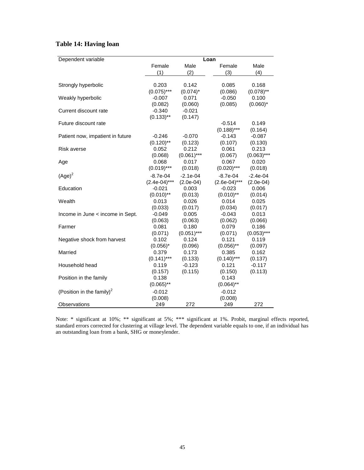### **Table 14: Having loan**

| Dependent variable                    | Loan            |               |                 |               |  |
|---------------------------------------|-----------------|---------------|-----------------|---------------|--|
|                                       | Female          | Male          | Female          | Male          |  |
|                                       | (1)             | (2)           | (3)             | (4)           |  |
|                                       |                 |               |                 |               |  |
| Strongly hyperbolic                   | 0.203           | 0.142         | 0.085           | 0.168         |  |
|                                       | $(0.075)$ ***   | $(0.074)^*$   | (0.086)         | $(0.078)$ **  |  |
| Weakly hyperbolic                     | $-0.007$        | 0.071         | $-0.050$        | 0.100         |  |
|                                       | (0.082)         | (0.060)       | (0.085)         | $(0.060)^*$   |  |
| Current discount rate                 | $-0.340$        | $-0.021$      |                 |               |  |
|                                       | $(0.133)$ **    | (0.147)       |                 |               |  |
| Future discount rate                  |                 |               | $-0.514$        | 0.149         |  |
|                                       |                 |               | $(0.188)$ ***   | (0.164)       |  |
| Patient now, impatient in future      | $-0.246$        | $-0.070$      | $-0.143$        | $-0.087$      |  |
|                                       | $(0.120)$ **    | (0.123)       | (0.107)         | (0.130)       |  |
| Risk averse                           | 0.052           | 0.212         | 0.061           | 0.213         |  |
|                                       | (0.068)         | $(0.061)$ *** | (0.067)         | $(0.063)$ *** |  |
| Age                                   | 0.068           | 0.017         | 0.067           | 0.020         |  |
|                                       | $(0.019)***$    | (0.018)       | $(0.020)$ ***   | (0.018)       |  |
| $(Age)^2$                             | $-8.7e-04$      | $-2.1e-04$    | $-8.7e-04$      | $-2.4e-04$    |  |
|                                       | $(2.4e-04)$ *** | $(2.0e-04)$   | $(2.6e-04)$ *** | $(2.0e-04)$   |  |
| Education                             | $-0.021$        | 0.003         | $-0.023$        | 0.006         |  |
|                                       | $(0.010)$ **    | (0.013)       | $(0.010)$ **    | (0.014)       |  |
| Wealth                                | 0.013           | 0.026         | 0.014           | 0.025         |  |
|                                       | (0.033)         | (0.017)       | (0.034)         | (0.017)       |  |
| Income in June < income in Sept.      | $-0.049$        | 0.005         | $-0.043$        | 0.013         |  |
|                                       | (0.063)         | (0.063)       | (0.062)         | (0.066)       |  |
| Farmer                                | 0.081           | 0.180         | 0.079           | 0.186         |  |
|                                       | (0.071)         | $(0.051)$ *** | (0.071)         | $(0.053)$ *** |  |
| Negative shock from harvest           | 0.102           | 0.124         | 0.121           | 0.119         |  |
|                                       | $(0.056)^*$     | (0.096)       | $(0.056)$ **    | (0.097)       |  |
| Married                               | 0.379           | 0.173         | 0.385           | 0.162         |  |
|                                       | $(0.141)$ ***   | (0.133)       | $(0.140)$ ***   | (0.137)       |  |
| Household head                        | 0.119           | $-0.123$      | 0.121           | $-0.117$      |  |
|                                       | (0.157)         | (0.115)       | (0.150)         | (0.113)       |  |
| Position in the family                | 0.138           |               | 0.143           |               |  |
|                                       | $(0.065)$ **    |               | $(0.064)$ **    |               |  |
| (Position in the family) <sup>2</sup> | $-0.012$        |               | $-0.012$        |               |  |
|                                       | (0.008)         |               | (0.008)         |               |  |
| Observations                          | 249             | 272           | 249             | 272           |  |

Note: \* significant at 10%; \*\* significant at 5%; \*\*\* significant at 1%. Probit, marginal effects reported, standard errors corrected for clustering at village level. The dependent variable equals to one, if an individual has an outstanding loan from a bank, SHG or moneylender.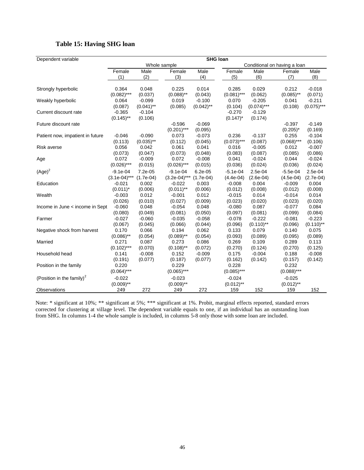### **Table 15: Having SHG loan**

| Dependent variable                    | <b>SHG loan</b>                              |                     |                           |                     |                          |                     |                          |                     |
|---------------------------------------|----------------------------------------------|---------------------|---------------------------|---------------------|--------------------------|---------------------|--------------------------|---------------------|
|                                       | Whole sample<br>Conditional on having a loan |                     |                           |                     |                          |                     |                          |                     |
|                                       | Female                                       | Male                | Female                    | Male                | Female                   | Male                | Female                   | Male                |
|                                       | (1)                                          | (2)                 | (3)                       | (4)                 | (5)                      | (6)                 | (7)                      | (8)                 |
| Strongly hyperbolic                   | 0.364                                        | 0.048               | 0.225                     | 0.014               | 0.285                    | 0.029               | 0.212                    | $-0.018$            |
|                                       | $(0.082)$ ***                                | (0.037)             | $(0.088)$ **              | (0.043)             | $(0.081)$ ***            | (0.062)             | $(0.085)$ **             | (0.071)             |
| Weakly hyperbolic                     | 0.064                                        | $-0.099$            | 0.019                     | $-0.100$            | 0.070                    | $-0.205$            | 0.041                    | $-0.211$            |
|                                       | (0.087)                                      | $(0.041)$ **        | (0.085)                   | $(0.042)$ **        | (0.104)                  | $(0.074)$ ***       | (0.108)                  | $(0.075)$ ***       |
| Current discount rate                 | $-0.365$<br>$(0.145)$ **                     | $-0.104$<br>(0.106) |                           |                     | $-0.270$<br>$(0.147)^*$  | $-0.129$<br>(0.174) |                          |                     |
| Future discount rate                  |                                              |                     | $-0.596$<br>$(0.201)$ *** | $-0.069$<br>(0.095) |                          |                     | $-0.397$<br>$(0.205)^*$  | $-0.149$<br>(0.169) |
| Patient now, impatient in future      | $-0.046$                                     | $-0.090$            | 0.073                     | $-0.073$            | 0.236                    | $-0.137$            | 0.255                    | $-0.104$            |
|                                       | (0.113)                                      | $(0.035)$ **        | (0.112)                   | (0.045)             | $(0.073)$ ***            | (0.087)             | $(0.068)$ ***            | (0.106)             |
| <b>Risk averse</b>                    | 0.056                                        | 0.042               | 0.061                     | 0.041               | 0.016                    | $-0.005$            | 0.012                    | $-0.007$            |
|                                       | (0.073)                                      | (0.047)             | (0.073)                   | (0.048)             | (0.083)                  | (0.087)             | (0.085)                  | (0.086)             |
| Age                                   | 0.072                                        | $-0.009$            | 0.072                     | $-0.008$            | 0.041                    | $-0.024$            | 0.044                    | $-0.024$            |
|                                       | $(0.026)$ ***                                | (0.015)             | $(0.026)$ ***             | (0.015)             | (0.036)                  | (0.024)             | (0.036)                  | (0.024)             |
| $(Age)^2$                             | $-9.1e-04$                                   | 7.2e-05             | $-9.1e-04$                | $6.2e-05$           | $-5.1e-04$               | $2.5e-04$           | $-5.5e-04$               | 2.5e-04             |
|                                       | $(3.1e-04)$ ***                              | $(1.7e-04)$         | $(3.2e-04)$ ***           | $(1.7e-04)$         | (4.4e.04)                | $(2.6e-04)$         | $(4.5e-04)$              | $(2.7e-04)$         |
| Education                             | $-0.021$                                     | 0.002               | $-0.022$                  | 0.003               | $-0.008$                 | 0.004               | $-0.009$                 | 0.004               |
|                                       | $(0.011)^*$                                  | (0.006)             | $(0.011)$ **              | (0.006)             | (0.012)                  | (0.008)             | (0.012)                  | (0.008)             |
| Wealth                                | $-0.003$                                     | 0.012               | $-0.001$                  | 0.012               | $-0.015$                 | 0.014               | $-0.014$                 | 0.014               |
|                                       | (0.026)                                      | (0.010)             | (0.027)                   | (0.009)             | (0.023)                  | (0.020)             | (0.023)                  | (0.020)             |
| Income in June < income in Sept.      | $-0.060$                                     | 0.048               | $-0.054$                  | 0.048               | $-0.080$                 | 0.087               | $-0.077$                 | 0.084               |
|                                       | (0.080)                                      | (0.049)             | (0.081)                   | (0.050)             | (0.097)                  | (0.081)             | (0.099)                  | (0.084)             |
| Farmer                                | $-0.027$                                     | $-0.060$            | $-0.035$                  | $-0.058$            | $-0.078$                 | $-0.222$            | $-0.081$                 | $-0.223$            |
|                                       | (0.067)                                      | (0.045)             | (0.066)                   | (0.044)             | (0.096)                  | $(0.110)$ **        | (0.096)                  | $(0.110)$ **        |
| Negative shock from harvest           | 0.170                                        | 0.066               | 0.194                     | 0.062               | 0.133                    | 0.079               | 0.140                    | 0.075               |
|                                       | $(0.086)$ **                                 | (0.054)             | $(0.089)$ **              | (0.054)             | (0.093)                  | (0.089)             | (0.095)                  | (0.089)             |
| Married                               | 0.271                                        | 0.087               | 0.273                     | 0.086               | 0.269                    | 0.109               | 0.289                    | 0.113               |
|                                       | $(0.102)$ ***                                | (0.070)             | $(0.108)$ **              | (0.072)             | (0.270)                  | (0.124)             | (0.270)                  | (0.125)             |
| Household head                        | 0.141                                        | $-0.008$            | 0.152                     | $-0.009$            | 0.175                    | $-0.004$            | 0.188                    | $-0.008$            |
|                                       | (0.191)                                      | (0.077)             | (0.187)                   | (0.077)             | (0.162)                  | (0.142)             | (0.157)                  | (0.142)             |
| Position in the family                | 0.220<br>$(0.064)$ ***                       |                     | 0.229<br>$(0.065)$ ***    |                     | 0.228<br>$(0.085)***$    |                     | 0.232<br>$(0.088)$ ***   |                     |
| (Position in the family) <sup>2</sup> | $-0.022$<br>$(0.009)$ **                     |                     | $-0.023$<br>$(0.009)$ **  |                     | $-0.024$<br>$(0.012)$ ** |                     | $-0.025$<br>$(0.012)$ ** |                     |
| Observations                          | 249                                          | 272                 | 249                       | 272                 | 159                      | 152                 | 159                      | 152                 |

Note: \* significant at 10%; \*\* significant at 5%; \*\*\* significant at 1%. Probit, marginal effects reported, standard errors corrected for clustering at village level. The dependent variable equals to one, if an individual has an outstanding loan from SHG. In columns 1-4 the whole sample is included, in columns 5-8 only those with some loan are included.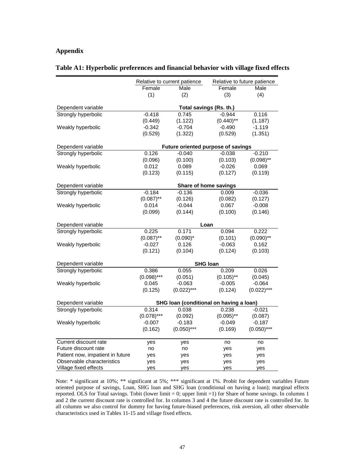#### **Appendix**

|                                  |                                         | Relative to current patience       | Relative to future patience |               |  |  |
|----------------------------------|-----------------------------------------|------------------------------------|-----------------------------|---------------|--|--|
|                                  | Female<br>Male                          |                                    | Female                      | Male          |  |  |
|                                  | (1)                                     | (2)                                | (3)                         | (4)           |  |  |
| Dependent variable               | Total savings (Rs. th.)                 |                                    |                             |               |  |  |
| Strongly hyperbolic              | $-0.418$                                | 0.745                              | $-0.944$                    | 0.116         |  |  |
|                                  | (0.449)                                 | (1.122)                            | $(0.440)$ **                | (1.187)       |  |  |
| Weakly hyperbolic                | $-0.342$                                | $-0.704$                           | $-0.490$                    | $-1.119$      |  |  |
|                                  | (0.529)                                 | (1.322)                            | (0.529)                     | (1.351)       |  |  |
|                                  |                                         |                                    |                             |               |  |  |
| Dependent variable               |                                         | Future oriented purpose of savings |                             |               |  |  |
| Strongly hyperbolic              | 0.126                                   | $-0.040$                           | $-0.038$                    | $-0.210$      |  |  |
|                                  | (0.096)                                 | (0.100)                            | (0.103)                     | $(0.098)$ **  |  |  |
| Weakly hyperbolic                | 0.012                                   | 0.089                              | $-0.026$                    | 0.069         |  |  |
|                                  | (0.123)                                 | (0.115)                            | (0.127)                     | (0.119)       |  |  |
| Dependent variable               |                                         | Share of home savings              |                             |               |  |  |
| Strongly hyperbolic              | $-0.184$                                | $-0.136$                           | 0.009                       | $-0.036$      |  |  |
|                                  | $(0.087)$ **                            | (0.126)                            | (0.082)                     | (0.127)       |  |  |
| Weakly hyperbolic                | 0.014                                   | $-0.044$                           | 0.067                       | $-0.008$      |  |  |
|                                  | (0.099)                                 | (0.144)                            | (0.100)                     | (0.146)       |  |  |
|                                  |                                         |                                    |                             |               |  |  |
| Dependent variable               |                                         | Loan                               |                             |               |  |  |
| Strongly hyperbolic              | 0.225                                   | 0.171                              | 0.094                       | 0.222         |  |  |
|                                  | $(0.087)$ **                            | $(0.090)^*$                        | (0.101)                     | $(0.090)$ **  |  |  |
| Weakly hyperbolic                | $-0.027$                                | 0.126                              | $-0.063$                    | 0.162         |  |  |
|                                  | (0.121)                                 | (0.104)                            | (0.124)                     | (0.103)       |  |  |
| Dependent variable               |                                         | <b>SHG loan</b>                    |                             |               |  |  |
| Strongly hyperbolic              | 0.386                                   | 0.055                              | 0.209                       | 0.026         |  |  |
|                                  | $(0.098)***$                            | (0.051)                            | $(0.105)$ **                | (0.045)       |  |  |
| Weakly hyperbolic                | 0.045                                   | $-0.063$                           | $-0.005$                    | $-0.064$      |  |  |
|                                  | (0.125)                                 | $(0.022)$ ***                      | (0.124)                     | $(0.022)***$  |  |  |
| Dependent variable               | SHG Ioan (conditional on having a loan) |                                    |                             |               |  |  |
| Strongly hyperbolic              | 0.314                                   | 0.038                              | 0.238                       | $-0.021$      |  |  |
|                                  | $(0.078)$ ***                           | (0.092)                            | $(0.095)$ **                | (0.087)       |  |  |
| Weakly hyperbolic                | $-0.007$                                | $-0.183$                           | $-0.049$                    | $-0.187$      |  |  |
|                                  | (0.162)                                 | $(0.050)$ ***                      | (0.169)                     | $(0.050)$ *** |  |  |
|                                  |                                         |                                    |                             |               |  |  |
| Current discount rate            | yes                                     | yes                                | no                          | no            |  |  |
| Future discount rate             | no                                      | no                                 | yes                         | yes           |  |  |
| Patient now, impatient in future | yes                                     | yes                                | yes                         | yes           |  |  |
| Observable characteristics       | yes                                     | yes                                | yes                         | yes           |  |  |
| Village fixed effects            | yes                                     | yes                                | yes                         | yes           |  |  |

#### **Table A1: Hyperbolic preferences and financial behavior with village fixed effects**

Note: \* significant at 10%; \*\* significant at 5%; \*\*\* significant at 1%. Probit for dependent variables Future oriented purpose of savings, Loan, SHG loan and SHG loan (conditional on having a loan); marginal effects reported. OLS for Total savings. Tobit (lower limit = 0; upper limit =1) for Share of home savings. In columns 1 and 2 the current discount rate is controlled for. In columns 3 and 4 the future discount rate is controlled for. In all columns we also control for dummy for having future-biased preferences, risk aversion, all other observable characteristics used in Tables 11-15 and village fixed effects.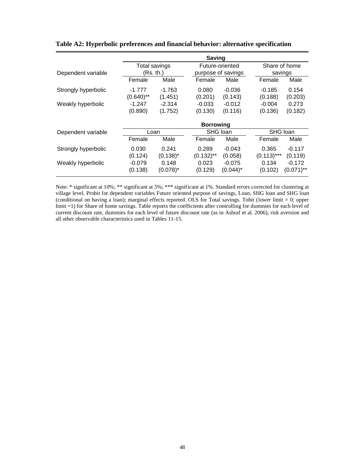|                     | <b>Saving</b>    |             |              |                    |              |               |  |
|---------------------|------------------|-------------|--------------|--------------------|--------------|---------------|--|
|                     | Total savings    |             |              | Future-oriented    |              | Share of home |  |
| Dependent variable  | (Rs. th.)        |             |              | purpose of savings |              | savings       |  |
|                     | Female           | Male        | Female       | Male               | Female       | Male          |  |
| Strongly hyperbolic | $-1.777$         | $-1.763$    | 0.080        | $-0.036$           | $-0.185$     | 0.154         |  |
|                     | $(0.640)$ **     | (1.451)     | (0.201)      | (0.143)            | (0.188)      | (0.203)       |  |
| Weakly hyperbolic   | $-1.247$         | $-2.314$    | $-0.033$     | $-0.012$           | $-0.004$     | 0.273         |  |
|                     | (0.890)          | (1.752)     | (0.130)      | (0.116)            | (0.136)      | (0.182)       |  |
|                     | <b>Borrowing</b> |             |              |                    |              |               |  |
| Dependent variable  | Loan             |             |              | SHG loan           |              | SHG Ioan      |  |
|                     | Female           | Male        | Female       | Male               | Female       | Male          |  |
| Strongly hyperbolic | 0.030            | 0.241       | 0.289        | $-0.043$           | 0.365        | $-0.117$      |  |
|                     | (0.124)          | $(0.138)^*$ | $(0.132)$ ** | (0.058)            | $(0.113)***$ | (0.119)       |  |
| Weakly hyperbolic   | $-0.079$         | 0.148       | 0.023        | $-0.075$           | 0.134        | $-0.172$      |  |
|                     | (0.138)          | $(0.078)^*$ | (0.129)      | $(0.044)^*$        | (0.102)      | $(0.071)$ **  |  |

**Table A2: Hyperbolic preferences and financial behavior: alternative specification**

Note: \* significant at 10%; \*\* significant at 5%; \*\*\* significant at 1%. Standard errors corrected for clustering at village level. Probit for dependent variables Future oriented purpose of savings, Loan, SHG loan and SHG loan (conditional on having a loan); marginal effects reported. OLS for Total savings. Tobit (lower limit = 0; upper limit =1) for Share of home savings. Table reports the coefficients after controlling for dummies for each level of current discount rate, dummies for each level of future discount rate (as in Ashraf et al. 2006), risk aversion and all other observable characteristics used in Tables 11-15.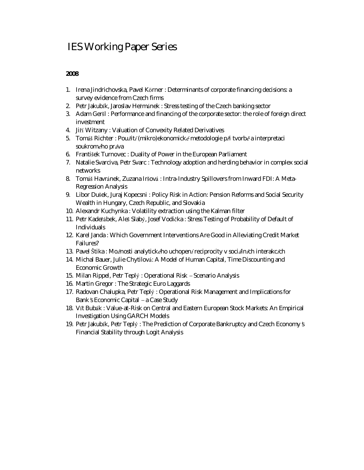## IES Working Paper Series

- 1. Irena Jindrichovska, Pavel Körner : *Determinants of corporate financing decisions: a survey evidence from Czech firms*
- 2. Petr Jakubík, Jaroslav Heřmánek : *Stress testing of the Czech banking sector*
- 3. Adam Geršl : *Performance and financing of the corporate sector: the role of foreign direct investment*
- 4. Jiří Witzany : *Valuation of Convexity Related Derivatives*
- 5. Tomáš Richter : *Pou<sup>ž</sup> ití(mikro)ekonomickémetodologie při tvorbě a interpretaci soukromého práva*
- 6. František Turnovec : *Duality of Power in the European Parliament*
- 7. Natalie Svarciva, Petr Svarc : *Technology adoption and herding behavior in complex social networks*
- 8. Tomáš Havránek, Zuzana Iršová : *Intra-Industry Spillovers from Inward FDI: A Meta-Regression Analysis*
- 9. Libor Dušek, Juraj Kopecsni : *Policy Risk in Action: Pension Reforms and Social Security Wealth in Hungary, Czech Republic, and Slovakia*
- 10. Alexandr Kuchynka : *Volatility extraction using the Kalman filter*
- 11. Petr Kadeřábek, Aleš Slabý, Josef Vodička : *Stress Testing of Probability of Default of Individuals*
- 12. Karel Janda : *Which Government Interventions Are Good in Alleviating Credit Market Failures?*
- 13. Pavel Štika : *Mo<sup>ž</sup> nosti analytického uchopení reciprocity v sociálních interakcích*
- 14. Michal Bauer, Julie Chytilová: *A Model of Human Capital, Time Discounting and Economic Growth*
- 15. Milan Rippel, Petr Teplý : *Operational Risk – Scenario Analysis*
- 16. Martin Gregor : *The Strategic Euro Laggards*
- 17. Radovan Chalupka, Petr Teplý : *Operational Risk Management and Implications for Bank's Economic Capital – a Case Study*
- 18. Vít Bubák : *Value-at-Risk on Central and Eastern European Stock Markets: An Empirical Investigation Using GARCH Models*
- 19. Petr Jakubík, Petr Teplý : *The Prediction of Corporate Bankruptcy and Czech Economy's Financial Stability through Logit Analysis*